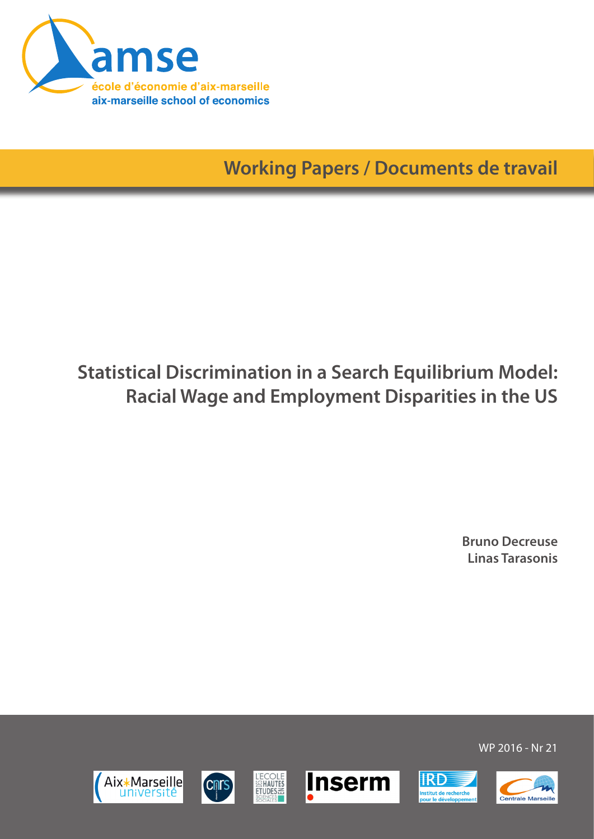

**Working Papers / Documents de travail**

# **Statistical Discrimination in a Search Equilibrium Model: Racial Wage and Employment Disparities in the US**

**Bruno Decreuse Linas Tarasonis**













WP 2016 - Nr 21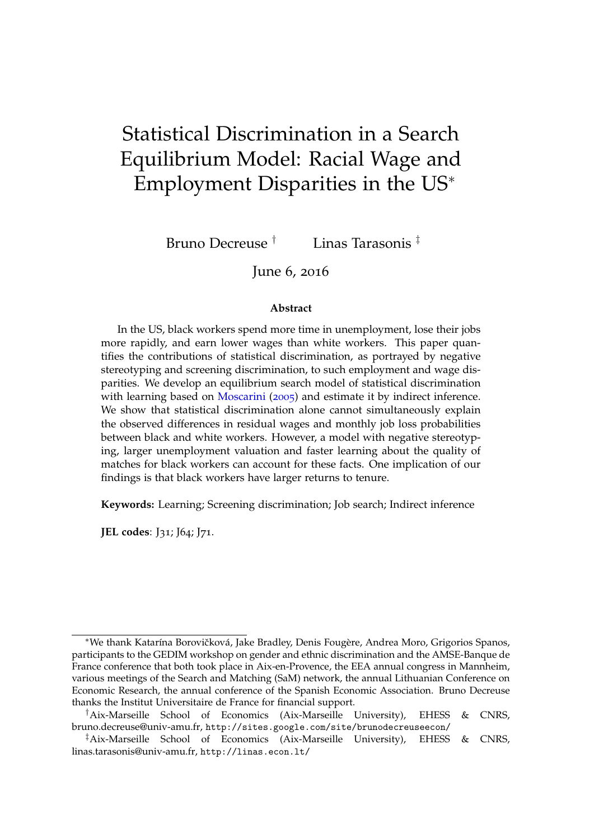# Statistical Discrimination in a Search Equilibrium Model: Racial Wage and Employment Disparities in the US<sup>∗</sup>

Bruno Decreuse † Linas Tarasonis ‡

June 6, 2016

#### **Abstract**

In the US, black workers spend more time in unemployment, lose their jobs more rapidly, and earn lower wages than white workers. This paper quantifies the contributions of statistical discrimination, as portrayed by negative stereotyping and screening discrimination, to such employment and wage disparities. We develop an equilibrium search model of statistical discrimination with learning based on [Moscarini](#page-35-0) ([2005](#page-35-0)) and estimate it by indirect inference. We show that statistical discrimination alone cannot simultaneously explain the observed differences in residual wages and monthly job loss probabilities between black and white workers. However, a model with negative stereotyping, larger unemployment valuation and faster learning about the quality of matches for black workers can account for these facts. One implication of our findings is that black workers have larger returns to tenure.

**Keywords:** Learning; Screening discrimination; Job search; Indirect inference

**JEL codes**: J31; J64; J71.

<sup>\*</sup>We thank Katarína Borovičková, Jake Bradley, Denis Fougère, Andrea Moro, Grigorios Spanos, participants to the GEDIM workshop on gender and ethnic discrimination and the AMSE-Banque de France conference that both took place in Aix-en-Provence, the EEA annual congress in Mannheim, various meetings of the Search and Matching (SaM) network, the annual Lithuanian Conference on Economic Research, the annual conference of the Spanish Economic Association. Bruno Decreuse thanks the Institut Universitaire de France for financial support.

<sup>†</sup>Aix-Marseille School of Economics (Aix-Marseille University), EHESS & CNRS, [bruno.decreuse@univ-amu.fr,](mailto:bruno.decreuse@univ-amu.fr) <http://sites.google.com/site/brunodecreuseecon/>

<sup>‡</sup>Aix-Marseille School of Economics (Aix-Marseille University), EHESS & CNRS, [linas.tarasonis@univ-amu.fr,](mailto:linas.tarasonis@univ-amu.fr) <http://linas.econ.lt/>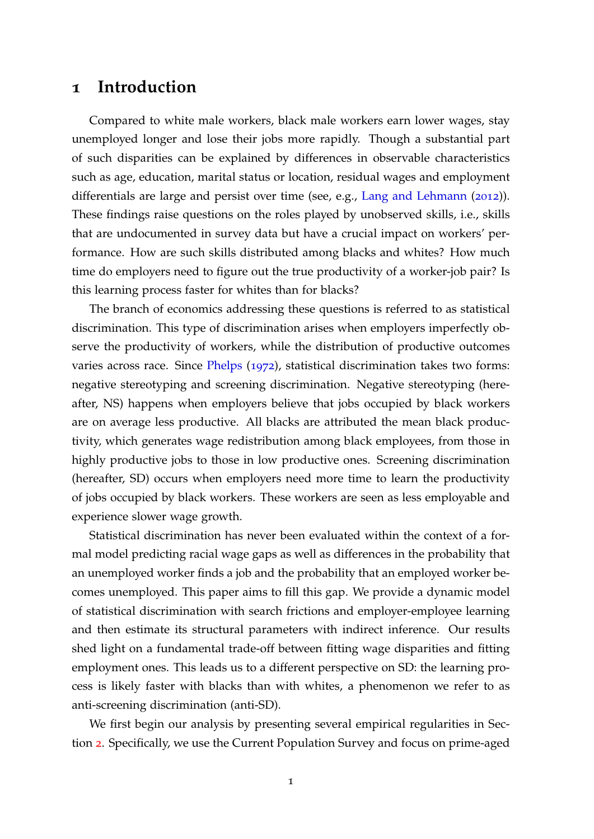## **1 Introduction**

Compared to white male workers, black male workers earn lower wages, stay unemployed longer and lose their jobs more rapidly. Though a substantial part of such disparities can be explained by differences in observable characteristics such as age, education, marital status or location, residual wages and employment differentials are large and persist over time (see, e.g., [Lang and Lehmann](#page-35-1) ([2012](#page-35-1))). These findings raise questions on the roles played by unobserved skills, i.e., skills that are undocumented in survey data but have a crucial impact on workers' performance. How are such skills distributed among blacks and whites? How much time do employers need to figure out the true productivity of a worker-job pair? Is this learning process faster for whites than for blacks?

The branch of economics addressing these questions is referred to as statistical discrimination. This type of discrimination arises when employers imperfectly observe the productivity of workers, while the distribution of productive outcomes varies across race. Since [Phelps](#page-36-0) ([1972](#page-36-0)), statistical discrimination takes two forms: negative stereotyping and screening discrimination. Negative stereotyping (hereafter, NS) happens when employers believe that jobs occupied by black workers are on average less productive. All blacks are attributed the mean black productivity, which generates wage redistribution among black employees, from those in highly productive jobs to those in low productive ones. Screening discrimination (hereafter, SD) occurs when employers need more time to learn the productivity of jobs occupied by black workers. These workers are seen as less employable and experience slower wage growth.

Statistical discrimination has never been evaluated within the context of a formal model predicting racial wage gaps as well as differences in the probability that an unemployed worker finds a job and the probability that an employed worker becomes unemployed. This paper aims to fill this gap. We provide a dynamic model of statistical discrimination with search frictions and employer-employee learning and then estimate its structural parameters with indirect inference. Our results shed light on a fundamental trade-off between fitting wage disparities and fitting employment ones. This leads us to a different perspective on SD: the learning process is likely faster with blacks than with whites, a phenomenon we refer to as anti-screening discrimination (anti-SD).

We first begin our analysis by presenting several empirical regularities in Section [2](#page-5-0). Specifically, we use the Current Population Survey and focus on prime-aged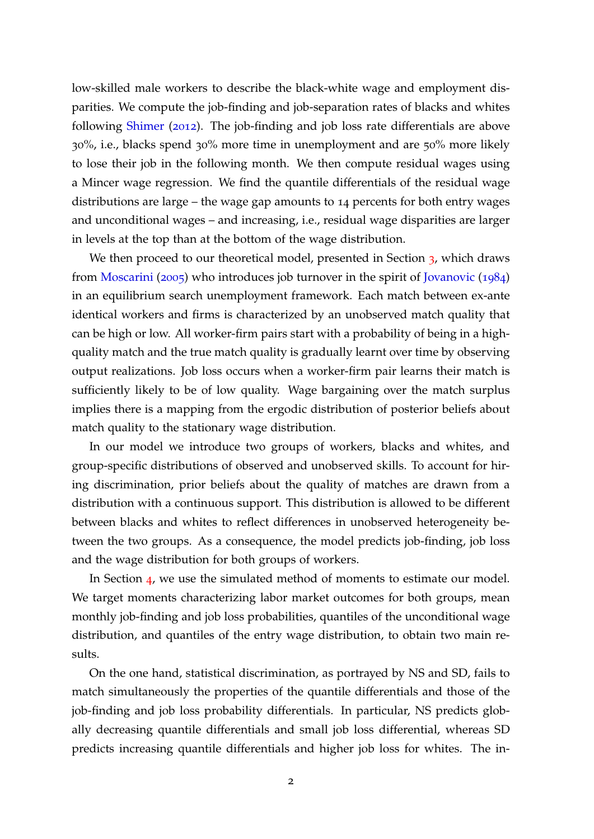low-skilled male workers to describe the black-white wage and employment disparities. We compute the job-finding and job-separation rates of blacks and whites following [Shimer](#page-36-1) ([2012](#page-36-1)). The job-finding and job loss rate differentials are above 30%, i.e., blacks spend 30% more time in unemployment and are 50% more likely to lose their job in the following month. We then compute residual wages using a Mincer wage regression. We find the quantile differentials of the residual wage distributions are large – the wage gap amounts to 14 percents for both entry wages and unconditional wages – and increasing, i.e., residual wage disparities are larger in levels at the top than at the bottom of the wage distribution.

We then proceed to our theoretical model, presented in Section [3](#page-9-0), which draws from [Moscarini](#page-35-0) ([2005](#page-35-0)) who introduces job turnover in the spirit of [Jovanovic](#page-35-2) ([1984](#page-35-2)) in an equilibrium search unemployment framework. Each match between ex-ante identical workers and firms is characterized by an unobserved match quality that can be high or low. All worker-firm pairs start with a probability of being in a highquality match and the true match quality is gradually learnt over time by observing output realizations. Job loss occurs when a worker-firm pair learns their match is sufficiently likely to be of low quality. Wage bargaining over the match surplus implies there is a mapping from the ergodic distribution of posterior beliefs about match quality to the stationary wage distribution.

In our model we introduce two groups of workers, blacks and whites, and group-specific distributions of observed and unobserved skills. To account for hiring discrimination, prior beliefs about the quality of matches are drawn from a distribution with a continuous support. This distribution is allowed to be different between blacks and whites to reflect differences in unobserved heterogeneity between the two groups. As a consequence, the model predicts job-finding, job loss and the wage distribution for both groups of workers.

In Section [4](#page-19-0), we use the simulated method of moments to estimate our model. We target moments characterizing labor market outcomes for both groups, mean monthly job-finding and job loss probabilities, quantiles of the unconditional wage distribution, and quantiles of the entry wage distribution, to obtain two main results.

On the one hand, statistical discrimination, as portrayed by NS and SD, fails to match simultaneously the properties of the quantile differentials and those of the job-finding and job loss probability differentials. In particular, NS predicts globally decreasing quantile differentials and small job loss differential, whereas SD predicts increasing quantile differentials and higher job loss for whites. The in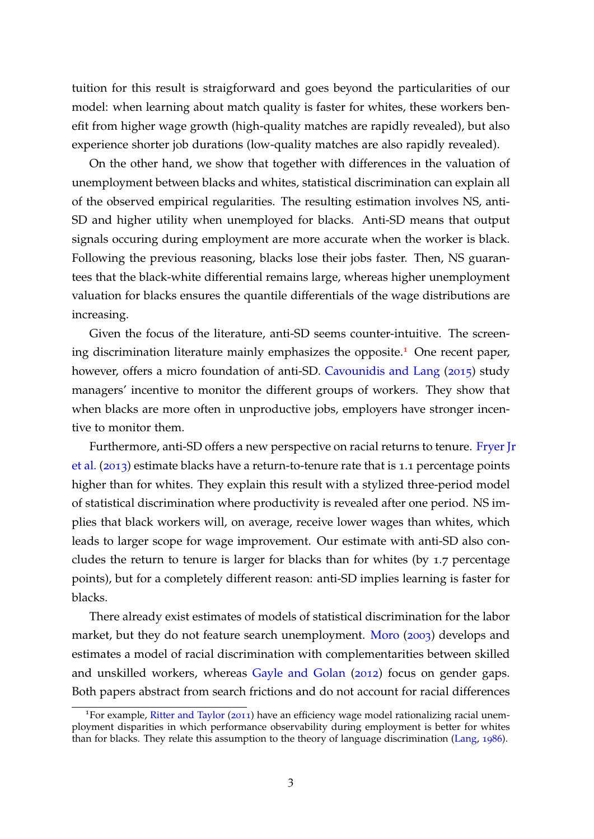tuition for this result is straigforward and goes beyond the particularities of our model: when learning about match quality is faster for whites, these workers benefit from higher wage growth (high-quality matches are rapidly revealed), but also experience shorter job durations (low-quality matches are also rapidly revealed).

On the other hand, we show that together with differences in the valuation of unemployment between blacks and whites, statistical discrimination can explain all of the observed empirical regularities. The resulting estimation involves NS, anti-SD and higher utility when unemployed for blacks. Anti-SD means that output signals occuring during employment are more accurate when the worker is black. Following the previous reasoning, blacks lose their jobs faster. Then, NS guarantees that the black-white differential remains large, whereas higher unemployment valuation for blacks ensures the quantile differentials of the wage distributions are increasing.

Given the focus of the literature, anti-SD seems counter-intuitive. The screen-ing discrimination literature mainly emphasizes the opposite.<sup>[1](#page-4-0)</sup> One recent paper, however, offers a micro foundation of anti-SD. [Cavounidis and Lang](#page-34-0) ([2015](#page-34-0)) study managers' incentive to monitor the different groups of workers. They show that when blacks are more often in unproductive jobs, employers have stronger incentive to monitor them.

Furthermore, anti-SD offers a new perspective on racial returns to tenure. [Fryer J](#page-35-3)r [et al.](#page-35-3) ([2013](#page-35-3)) estimate blacks have a return-to-tenure rate that is 1.1 percentage points higher than for whites. They explain this result with a stylized three-period model of statistical discrimination where productivity is revealed after one period. NS implies that black workers will, on average, receive lower wages than whites, which leads to larger scope for wage improvement. Our estimate with anti-SD also concludes the return to tenure is larger for blacks than for whites (by 1.7 percentage points), but for a completely different reason: anti-SD implies learning is faster for blacks.

There already exist estimates of models of statistical discrimination for the labor market, but they do not feature search unemployment. [Moro](#page-35-4) ([2003](#page-35-4)) develops and estimates a model of racial discrimination with complementarities between skilled and unskilled workers, whereas [Gayle and Golan](#page-35-5) ([2012](#page-35-5)) focus on gender gaps. Both papers abstract from search frictions and do not account for racial differences

<span id="page-4-0"></span><sup>&</sup>lt;sup>1</sup>For example, [Ritter and Taylor](#page-36-2) ([2011](#page-36-2)) have an efficiency wage model rationalizing racial unemployment disparities in which performance observability during employment is better for whites than for blacks. They relate this assumption to the theory of language discrimination [\(Lang,](#page-35-6) [1986](#page-35-6)).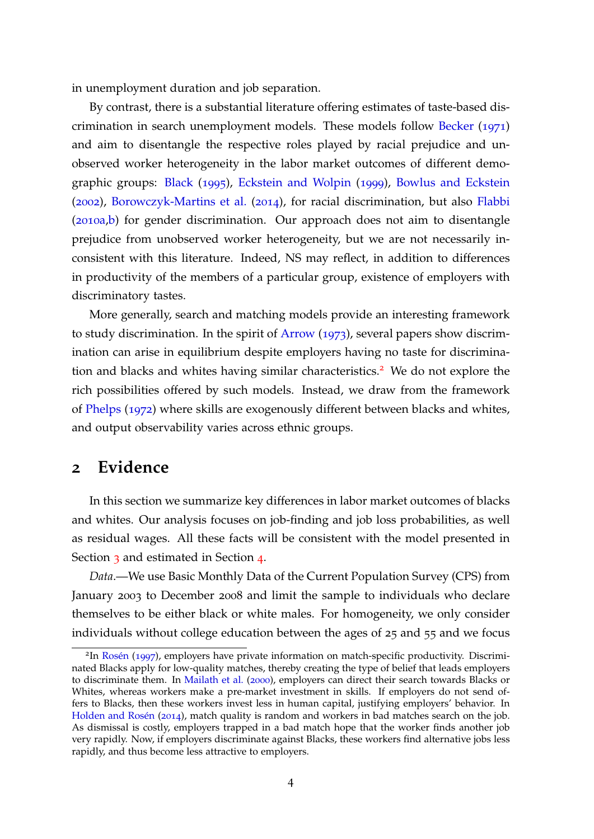in unemployment duration and job separation.

By contrast, there is a substantial literature offering estimates of taste-based discrimination in search unemployment models. These models follow [Becker](#page-34-1) ([1971](#page-34-1)) and aim to disentangle the respective roles played by racial prejudice and unobserved worker heterogeneity in the labor market outcomes of different demographic groups: [Black](#page-34-2) ([1995](#page-34-2)), [Eckstein and Wolpin](#page-34-3) ([1999](#page-34-3)), [Bowlus and Eckstein](#page-34-4) ([2002](#page-34-4)), [Borowczyk-Martins et al.](#page-34-5) ([2014](#page-34-5)), for racial discrimination, but also [Flabbi](#page-34-6) ([2010](#page-34-6)a[,b\)](#page-35-7) for gender discrimination. Our approach does not aim to disentangle prejudice from unobserved worker heterogeneity, but we are not necessarily inconsistent with this literature. Indeed, NS may reflect, in addition to differences in productivity of the members of a particular group, existence of employers with discriminatory tastes.

More generally, search and matching models provide an interesting framework to study discrimination. In the spirit of [Arrow](#page-34-7) ([1973](#page-34-7)), several papers show discrimination can arise in equilibrium despite employers having no taste for discrimina-tion and blacks and whites having similar characteristics.<sup>[2](#page-5-1)</sup> We do not explore the rich possibilities offered by such models. Instead, we draw from the framework of [Phelps](#page-36-0) ([1972](#page-36-0)) where skills are exogenously different between blacks and whites, and output observability varies across ethnic groups.

### <span id="page-5-0"></span>**2 Evidence**

In this section we summarize key differences in labor market outcomes of blacks and whites. Our analysis focuses on job-finding and job loss probabilities, as well as residual wages. All these facts will be consistent with the model presented in Section [3](#page-9-0) and estimated in Section [4](#page-19-0).

*Data*.—We use Basic Monthly Data of the Current Population Survey (CPS) from January 2003 to December 2008 and limit the sample to individuals who declare themselves to be either black or white males. For homogeneity, we only consider individuals without college education between the ages of 25 and 55 and we focus

<span id="page-5-1"></span><sup>&</sup>lt;sup>2</sup>In Rosén ([1997](#page-36-3)), employers have private information on match-specific productivity. Discriminated Blacks apply for low-quality matches, thereby creating the type of belief that leads employers to discriminate them. In [Mailath et al.](#page-35-8) ([2000](#page-35-8)), employers can direct their search towards Blacks or Whites, whereas workers make a pre-market investment in skills. If employers do not send offers to Blacks, then these workers invest less in human capital, justifying employers' behavior. In Holden and Rosén ([2014](#page-35-9)), match quality is random and workers in bad matches search on the job. As dismissal is costly, employers trapped in a bad match hope that the worker finds another job very rapidly. Now, if employers discriminate against Blacks, these workers find alternative jobs less rapidly, and thus become less attractive to employers.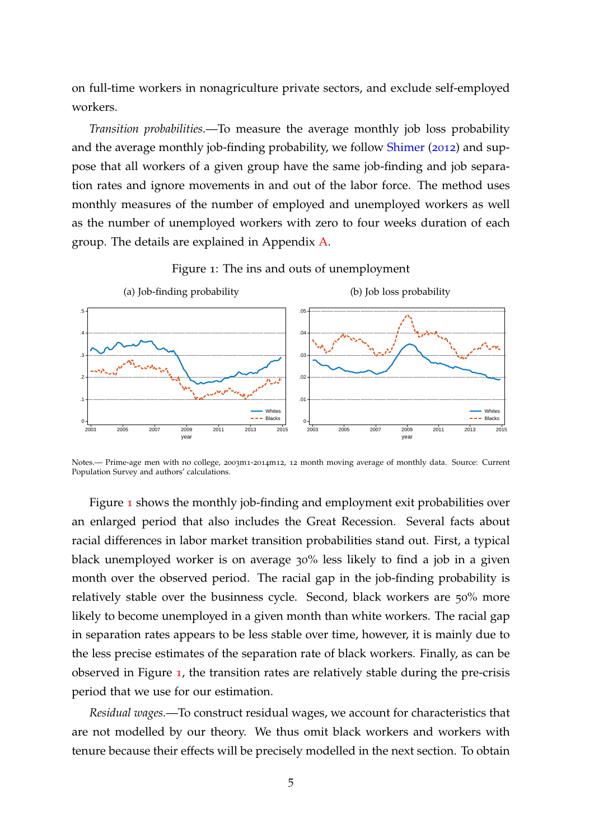on full-time workers in nonagriculture private sectors, and exclude self-employed workers.

*Transition probabilities*.—To measure the average monthly job loss probability and the average monthly job-finding probability, we follow [Shimer](#page-36-1) ([2012](#page-36-1)) and suppose that all workers of a given group have the same job-finding and job separation rates and ignore movements in and out of the labor force. The method uses monthly measures of the number of employed and unemployed workers as well as the number of unemployed workers with zero to four weeks duration of each group. The details are explained in Appendix [A.](#page-37-0)

<span id="page-6-0"></span>

Figure 1: The ins and outs of unemployment

Notes.— Prime-age men with no college, 2003m1-2014m12, 12 month moving average of monthly data. Source: Current Population Survey and authors' calculations.

Figure [1](#page-6-0) shows the monthly job-finding and employment exit probabilities over an enlarged period that also includes the Great Recession. Several facts about racial differences in labor market transition probabilities stand out. First, a typical black unemployed worker is on average 30% less likely to find a job in a given month over the observed period. The racial gap in the job-finding probability is relatively stable over the businness cycle. Second, black workers are 50% more likely to become unemployed in a given month than white workers. The racial gap in separation rates appears to be less stable over time, however, it is mainly due to the less precise estimates of the separation rate of black workers. Finally, as can be observed in Figure [1](#page-6-0), the transition rates are relatively stable during the pre-crisis period that we use for our estimation.

*Residual wages.*—To construct residual wages, we account for characteristics that are not modelled by our theory. We thus omit black workers and workers with tenure because their effects will be precisely modelled in the next section. To obtain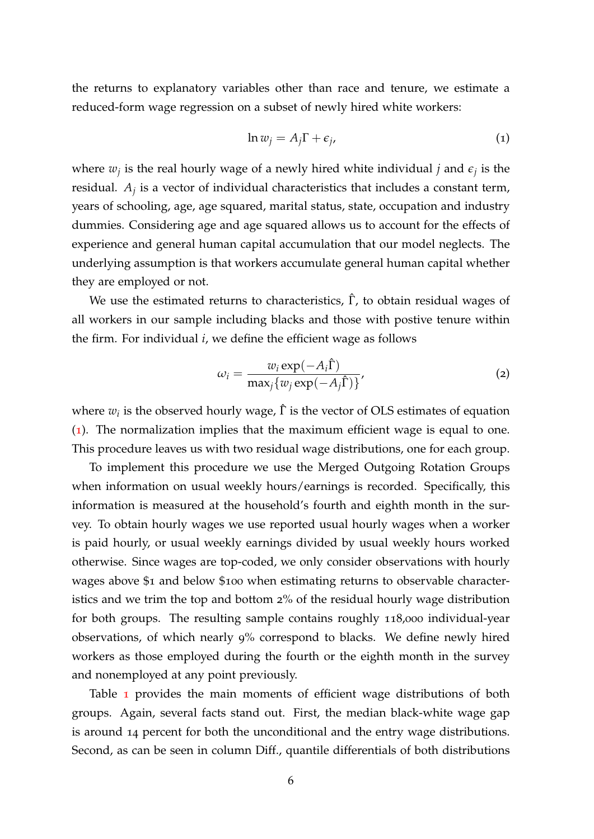the returns to explanatory variables other than race and tenure, we estimate a reduced-form wage regression on a subset of newly hired white workers:

<span id="page-7-0"></span>
$$
\ln w_j = A_j \Gamma + \epsilon_j,\tag{1}
$$

where  $w_j$  is the real hourly wage of a newly hired white individual  $j$  and  $\epsilon_j$  is the residual. *A<sup>j</sup>* is a vector of individual characteristics that includes a constant term, years of schooling, age, age squared, marital status, state, occupation and industry dummies. Considering age and age squared allows us to account for the effects of experience and general human capital accumulation that our model neglects. The underlying assumption is that workers accumulate general human capital whether they are employed or not.

We use the estimated returns to characteristics,  $\hat{\Gamma}$ , to obtain residual wages of all workers in our sample including blacks and those with postive tenure within the firm. For individual *i*, we define the efficient wage as follows

<span id="page-7-1"></span>
$$
\omega_i = \frac{w_i \exp(-A_i \hat{\Gamma})}{\max_j \{w_j \exp(-A_j \hat{\Gamma})\}},\tag{2}
$$

where  $w_i$  is the observed hourly wage,  $\hat{\Gamma}$  is the vector of OLS estimates of equation ([1](#page-7-0)). The normalization implies that the maximum efficient wage is equal to one. This procedure leaves us with two residual wage distributions, one for each group.

To implement this procedure we use the Merged Outgoing Rotation Groups when information on usual weekly hours/earnings is recorded. Specifically, this information is measured at the household's fourth and eighth month in the survey. To obtain hourly wages we use reported usual hourly wages when a worker is paid hourly, or usual weekly earnings divided by usual weekly hours worked otherwise. Since wages are top-coded, we only consider observations with hourly wages above \$1 and below \$100 when estimating returns to observable characteristics and we trim the top and bottom 2% of the residual hourly wage distribution for both groups. The resulting sample contains roughly 118,000 individual-year observations, of which nearly 9% correspond to blacks. We define newly hired workers as those employed during the fourth or the eighth month in the survey and nonemployed at any point previously.

Table [1](#page-8-0) provides the main moments of efficient wage distributions of both groups. Again, several facts stand out. First, the median black-white wage gap is around 14 percent for both the unconditional and the entry wage distributions. Second, as can be seen in column Diff., quantile differentials of both distributions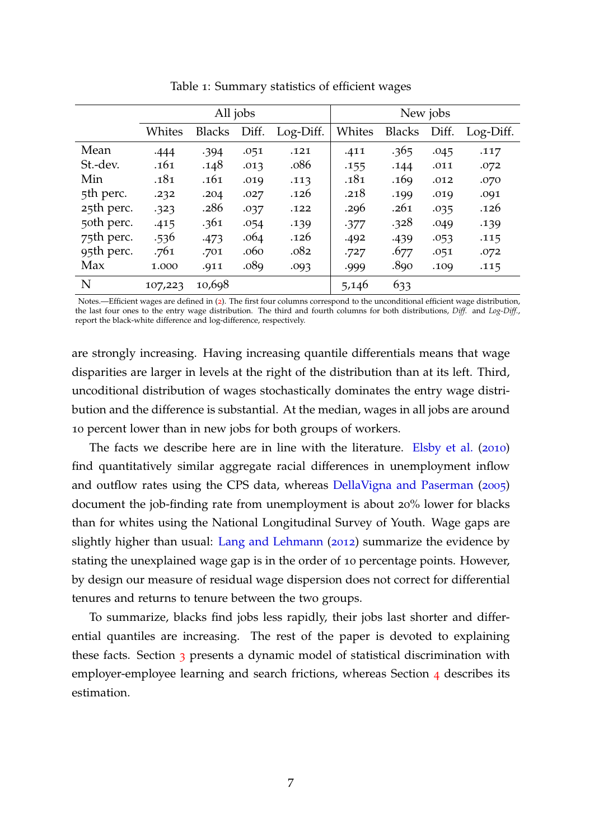<span id="page-8-0"></span>

|            | All jobs |               |       |           | New jobs |               |       |           |
|------------|----------|---------------|-------|-----------|----------|---------------|-------|-----------|
|            | Whites   | <b>Blacks</b> | Diff. | Log-Diff. | Whites   | <b>Blacks</b> | Diff. | Log-Diff. |
| Mean       | .444     | .394          | .051  | .121      | .411     | .365          | .045  | .117      |
| St.-dev.   | .161     | .148          | .013  | .086      | .155     | .144          | .011  | .072      |
| Min        | .181     | .161          | .019  | .113      | .181     | .169          | .012  | .070      |
| 5th perc.  | .232     | .204          | .027  | .126      | .218     | .199          | .019  | .091      |
| 25th perc. | .323     | .286          | .037  | .122      | .296     | .261          | .035  | .126      |
| 50th perc. | .415     | .361          | .054  | .139      | .377     | .328          | .049  | .139      |
| 75th perc. | .536     | .473          | .064  | .126      | .492     | .439          | .053  | .115      |
| 95th perc. | .761     | .701          | .060  | .082      | .727     | .677          | .051  | .072      |
| Max        | 1.000    | .911          | .089  | .093      | .999     | .890          | .109  | .115      |
| N          | 107,223  | 10,698        |       |           | 5,146    | 633           |       |           |

Table 1: Summary statistics of efficient wages

Notes.—Efficient wages are defined in ([2](#page-7-1)). The first four columns correspond to the unconditional efficient wage distribution, the last four ones to the entry wage distribution. The third and fourth columns for both distributions, *Diff.* and *Log-Diff.*, report the black-white difference and log-difference, respectively.

are strongly increasing. Having increasing quantile differentials means that wage disparities are larger in levels at the right of the distribution than at its left. Third, uncoditional distribution of wages stochastically dominates the entry wage distribution and the difference is substantial. At the median, wages in all jobs are around 10 percent lower than in new jobs for both groups of workers.

The facts we describe here are in line with the literature. [Elsby et al.](#page-34-8) ([2010](#page-34-8)) find quantitatively similar aggregate racial differences in unemployment inflow and outflow rates using the CPS data, whereas [DellaVigna and Paserman](#page-34-9) ([2005](#page-34-9)) document the job-finding rate from unemployment is about 20% lower for blacks than for whites using the National Longitudinal Survey of Youth. Wage gaps are slightly higher than usual: [Lang and Lehmann](#page-35-1) ([2012](#page-35-1)) summarize the evidence by stating the unexplained wage gap is in the order of 10 percentage points. However, by design our measure of residual wage dispersion does not correct for differential tenures and returns to tenure between the two groups.

To summarize, blacks find jobs less rapidly, their jobs last shorter and differential quantiles are increasing. The rest of the paper is devoted to explaining these facts. Section [3](#page-9-0) presents a dynamic model of statistical discrimination with employer-employee learning and search frictions, whereas Section [4](#page-19-0) describes its estimation.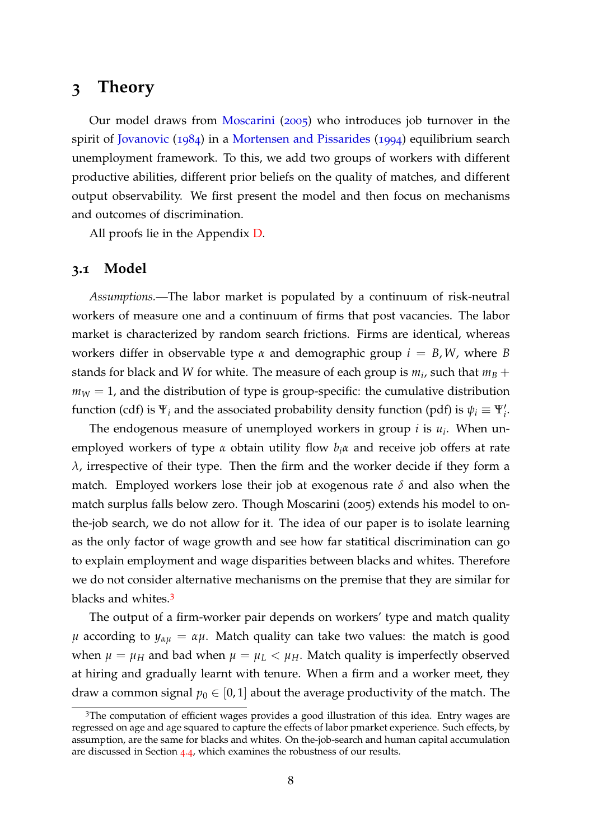# <span id="page-9-0"></span>**3 Theory**

Our model draws from [Moscarini](#page-35-0) ([2005](#page-35-0)) who introduces job turnover in the spirit of [Jovanovic](#page-35-2) ([1984](#page-35-2)) in a [Mortensen and Pissarides](#page-35-10) ([1994](#page-35-10)) equilibrium search unemployment framework. To this, we add two groups of workers with different productive abilities, different prior beliefs on the quality of matches, and different output observability. We first present the model and then focus on mechanisms and outcomes of discrimination.

All proofs lie in the Appendix [D.](#page-39-0)

#### **3.1 Model**

*Assumptions.*—The labor market is populated by a continuum of risk-neutral workers of measure one and a continuum of firms that post vacancies. The labor market is characterized by random search frictions. Firms are identical, whereas workers differ in observable type  $\alpha$  and demographic group  $i = B, W$ , where *B* stands for black and *W* for white. The measure of each group is  $m_i$ , such that  $m_B +$  $m_W = 1$ , and the distribution of type is group-specific: the cumulative distribution function (cdf) is  $\Psi_i$  and the associated probability density function (pdf) is  $\psi_i \equiv \Psi'_i$ .

The endogenous measure of unemployed workers in group *i* is *u<sup>i</sup>* . When unemployed workers of type *α* obtain utility flow *biα* and receive job offers at rate *λ*, irrespective of their type. Then the firm and the worker decide if they form a match. Employed workers lose their job at exogenous rate *δ* and also when the match surplus falls below zero. Though Moscarini (2005) extends his model to onthe-job search, we do not allow for it. The idea of our paper is to isolate learning as the only factor of wage growth and see how far statitical discrimination can go to explain employment and wage disparities between blacks and whites. Therefore we do not consider alternative mechanisms on the premise that they are similar for blacks and whites.[3](#page-9-1)

The output of a firm-worker pair depends on workers' type and match quality *µ* according to  $y_{\alpha u} = \alpha \mu$ . Match quality can take two values: the match is good when  $\mu = \mu_H$  and bad when  $\mu = \mu_L < \mu_H$ . Match quality is imperfectly observed at hiring and gradually learnt with tenure. When a firm and a worker meet, they draw a common signal  $p_0 \in [0, 1]$  about the average productivity of the match. The

<span id="page-9-1"></span><sup>&</sup>lt;sup>3</sup>The computation of efficient wages provides a good illustration of this idea. Entry wages are regressed on age and age squared to capture the effects of labor pmarket experience. Such effects, by assumption, are the same for blacks and whites. On the-job-search and human capital accumulation are discussed in Section [4](#page-30-0).4, which examines the robustness of our results.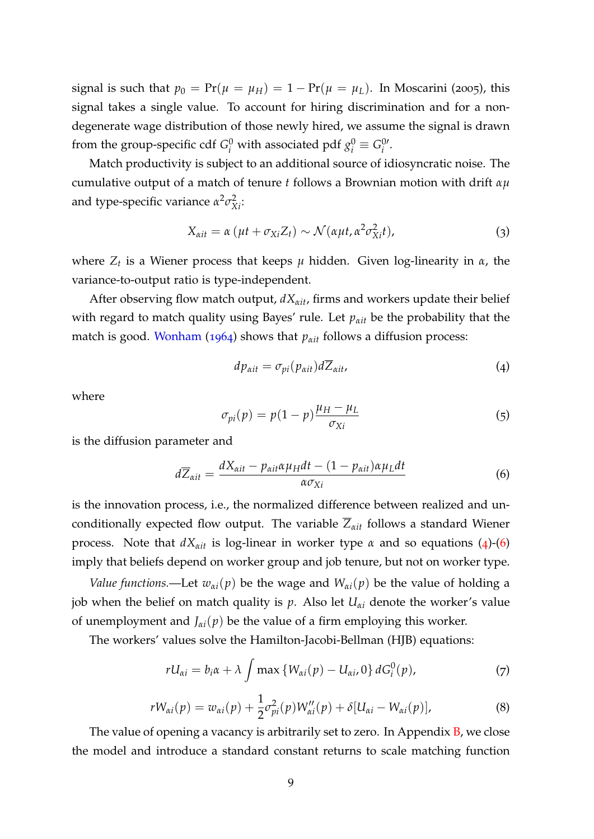signal is such that  $p_0 = Pr(\mu = \mu_H) = 1 - Pr(\mu = \mu_L)$ . In Moscarini (2005), this signal takes a single value. To account for hiring discrimination and for a nondegenerate wage distribution of those newly hired, we assume the signal is drawn from the group-specific cdf  $G_i^0$  with associated pdf  $g_i^0 \equiv G_i^{0i}$ *i* .

Match productivity is subject to an additional source of idiosyncratic noise. The cumulative output of a match of tenure *t* follows a Brownian motion with drift *αµ* and type-specific variance  $\alpha^2 \sigma_{Xi}^2$ .

$$
X_{\alpha it} = \alpha \left( \mu t + \sigma_{Xi} Z_t \right) \sim \mathcal{N} \left( \alpha \mu t, \alpha^2 \sigma_{Xi}^2 t \right), \tag{3}
$$

where *Z<sup>t</sup>* is a Wiener process that keeps *µ* hidden. Given log-linearity in *α*, the variance-to-output ratio is type-independent.

After observing flow match output, *dXαit*, firms and workers update their belief with regard to match quality using Bayes' rule. Let  $p_{\alpha i t}$  be the probability that the match is good. [Wonham](#page-36-4) ([1964](#page-36-4)) shows that *<sup>p</sup>αit* follows a diffusion process:

<span id="page-10-0"></span>
$$
dp_{\alpha it} = \sigma_{pi}(p_{\alpha it}) d\overline{Z}_{\alpha it}, \qquad (4)
$$

where

$$
\sigma_{pi}(p) = p(1-p)\frac{\mu_H - \mu_L}{\sigma_{Xi}} \tag{5}
$$

is the diffusion parameter and

<span id="page-10-1"></span>
$$
d\overline{Z}_{\alpha it} = \frac{dX_{\alpha it} - p_{\alpha it} \alpha \mu_H dt - (1 - p_{\alpha it}) \alpha \mu_L dt}{\alpha \sigma_{Xi}} \tag{6}
$$

is the innovation process, i.e., the normalized difference between realized and unconditionally expected flow output. The variable  $\overline{Z}_{\alpha i t}$  follows a standard Wiener process. Note that  $dX_{\alpha i t}$  is log-linear in worker type *α* and so equations ([4](#page-10-0))-([6](#page-10-1)) imply that beliefs depend on worker group and job tenure, but not on worker type.

*Value functions.*—Let  $w_{\alpha i}(p)$  be the wage and  $W_{\alpha i}(p)$  be the value of holding a job when the belief on match quality is  $p$ . Also let  $U_{\alpha i}$  denote the worker's value of unemployment and  $J_{\alpha i}(p)$  be the value of a firm employing this worker.

The workers' values solve the Hamilton-Jacobi-Bellman (HJB) equations:

<span id="page-10-3"></span>
$$
rU_{\alpha i} = b_i \alpha + \lambda \int \max \left\{ W_{\alpha i}(p) - U_{\alpha i}, 0 \right\} dG_i^0(p), \tag{7}
$$

<span id="page-10-2"></span>
$$
rW_{\alpha i}(p) = w_{\alpha i}(p) + \frac{1}{2}\sigma_{pi}^{2}(p)W_{\alpha i}''(p) + \delta[U_{\alpha i} - W_{\alpha i}(p)],
$$
\n(8)

The value of opening a vacancy is arbitrarily set to zero. In Appendix **B**, we close the model and introduce a standard constant returns to scale matching function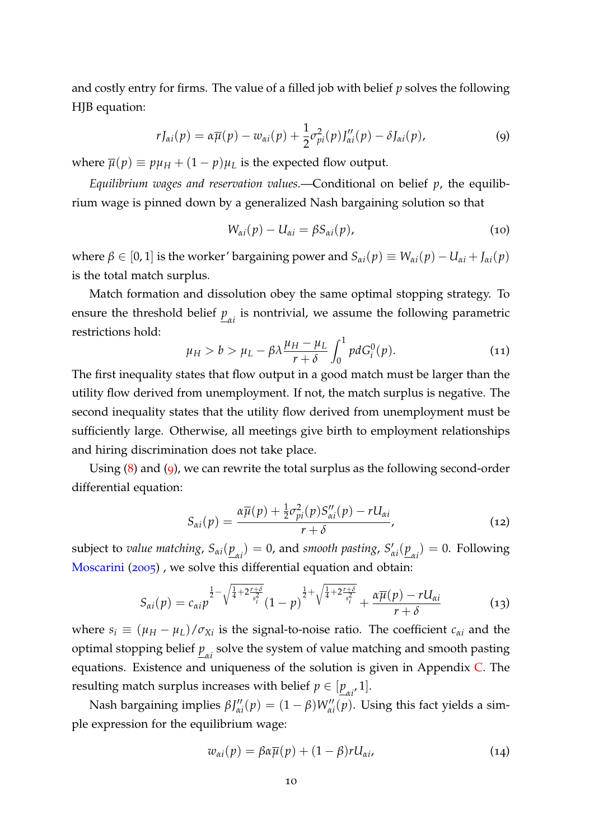and costly entry for firms. The value of a filled job with belief *p* solves the following HJB equation:

<span id="page-11-0"></span>
$$
rJ_{\alpha i}(p) = \alpha \overline{\mu}(p) - w_{\alpha i}(p) + \frac{1}{2} \sigma_{pi}^2(p) J_{\alpha i}''(p) - \delta J_{\alpha i}(p), \qquad (9)
$$

where  $\overline{\mu}(p) \equiv p\mu_H + (1 - p)\mu_L$  is the expected flow output.

*Equilibrium wages and reservation values.*—Conditional on belief *p*, the equilibrium wage is pinned down by a generalized Nash bargaining solution so that

<span id="page-11-2"></span>
$$
W_{\alpha i}(p) - U_{\alpha i} = \beta S_{\alpha i}(p), \qquad (10)
$$

where  $\beta \in [0, 1]$  is the worker' bargaining power and  $S_{\alpha i}(p) \equiv W_{\alpha i}(p) - U_{\alpha i} + J_{\alpha i}(p)$ is the total match surplus.

Match formation and dissolution obey the same optimal stopping strategy. To ensure the threshold belief  $p_{\alpha i}$  is nontrivial, we assume the following parametric restrictions hold:

<span id="page-11-4"></span>
$$
\mu_H > b > \mu_L - \beta \lambda \frac{\mu_H - \mu_L}{r + \delta} \int_0^1 p dG_i^0(p). \tag{11}
$$

The first inequality states that flow output in a good match must be larger than the utility flow derived from unemployment. If not, the match surplus is negative. The second inequality states that the utility flow derived from unemployment must be sufficiently large. Otherwise, all meetings give birth to employment relationships and hiring discrimination does not take place.

Using ([8](#page-10-2)) and ([9](#page-11-0)), we can rewrite the total surplus as the following second-order differential equation:

<span id="page-11-3"></span>
$$
S_{\alpha i}(p) = \frac{\alpha \overline{\mu}(p) + \frac{1}{2}\sigma_{pi}^2(p)S_{\alpha i}''(p) - rU_{\alpha i}}{r + \delta},
$$
\n(12)

subject to *value matching*,  $S_{\alpha i}(\underline{p}_{\alpha i}) = 0$ , and *smooth pasting*,  $S_{\alpha i}$  $\chi'_{\alpha i}(\underline{p}_{\alpha i}) = 0$ . Following [Moscarini](#page-35-0) ([2005](#page-35-0)) , we solve this differential equation and obtain:

<span id="page-11-1"></span>
$$
S_{\alpha i}(p) = c_{\alpha i} p^{\frac{1}{2} - \sqrt{\frac{1}{4} + 2\frac{r+\delta}{s_i^2}}} (1-p)^{\frac{1}{2} + \sqrt{\frac{1}{4} + 2\frac{r+\delta}{s_i^2}}} + \frac{\alpha \overline{\mu}(p) - rU_{\alpha i}}{r+\delta} \tag{13}
$$

where  $s_i \equiv (\mu_H - \mu_L)/\sigma_{Xi}$  is the signal-to-noise ratio. The coefficient  $c_{\alpha i}$  and the optimal stopping belief  $\underline{p}_{\alpha i}$  solve the system of value matching and smooth pasting equations. Existence and uniqueness of the solution is given in Appendix [C.](#page-38-0) The resulting match surplus increases with belief  $p \in [\underline{p}_{\alpha i'}1]$ .

Nash bargaining implies  $βJ''_{α}$  $C_{\alpha i}''(p) = (1 - \beta)W_{\alpha i}''(p)$ . Using this fact yields a simple expression for the equilibrium wage:

$$
w_{\alpha i}(p) = \beta \alpha \overline{\mu}(p) + (1 - \beta) r U_{\alpha i}, \qquad (14)
$$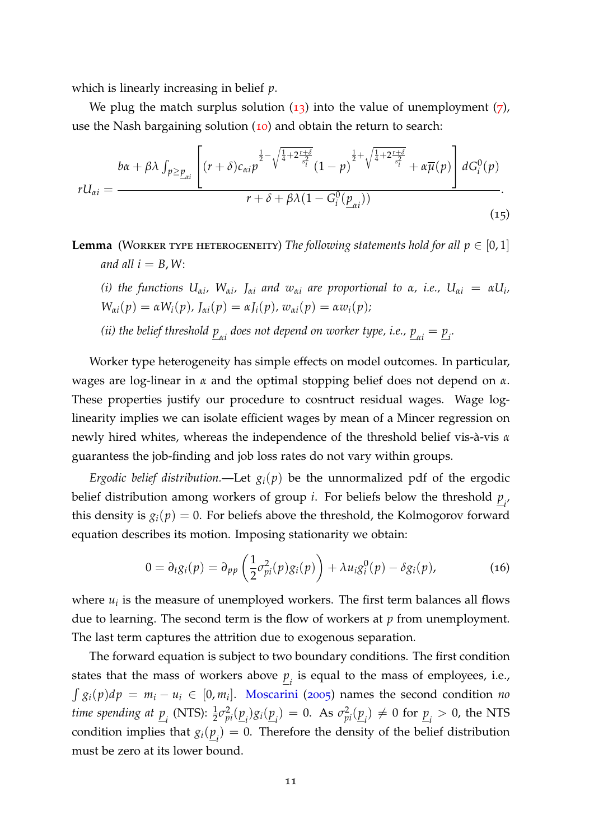which is linearly increasing in belief *p*.

We plug the match surplus solution  $(13)$  $(13)$  $(13)$  into the value of unemployment  $(7)$  $(7)$  $(7)$ , use the Nash bargaining solution ([10](#page-11-2)) and obtain the return to search:

$$
rU_{\alpha i} = \frac{b\alpha + \beta\lambda \int_{p \ge p_{\alpha i}} \left[ (r+\delta)c_{\alpha i}p^{\frac{1}{2}-\sqrt{\frac{1}{4}+2\frac{r+\delta}{s_i^2}}}(1-p)^{\frac{1}{2}+\sqrt{\frac{1}{4}+2\frac{r+\delta}{s_i^2}}} + \alpha\overline{\mu}(p) \right] dG_i^0(p)}{r+\delta+\beta\lambda(1-G_i^0(\underline{p}_{\alpha i}))}.
$$
\n(15)

**Lemma** (WORKER TYPE HETEROGENEITY) *The following statements hold for all*  $p \in [0,1]$ *and all*  $i = B$ , *W*:

(i) the functions  $U_{\alpha i}$ ,  $W_{\alpha i}$ ,  $J_{\alpha i}$  and  $w_{\alpha i}$  are proportional to  $\alpha$ , i.e.,  $U_{\alpha i} = \alpha U_i$ ,  $W_{\alpha i}(p) = \alpha W_i(p)$ ,  $J_{\alpha i}(p) = \alpha J_i(p)$ ,  $w_{\alpha i}(p) = \alpha w_i(p)$ ;

(*ii*) the belief threshold  $\underline{p}_{\alpha i}$  does not depend on worker type, i.e.,  $\underline{p}_{\alpha i} = \underline{p}_{i}$ .

Worker type heterogeneity has simple effects on model outcomes. In particular, wages are log-linear in *α* and the optimal stopping belief does not depend on *α*. These properties justify our procedure to cosntruct residual wages. Wage loglinearity implies we can isolate efficient wages by mean of a Mincer regression on newly hired whites, whereas the independence of the threshold belief vis-a-vis ` *α* guarantess the job-finding and job loss rates do not vary within groups.

*Ergodic belief distribution.*—Let  $g_i(p)$  be the unnormalized pdf of the ergodic belief distribution among workers of group *i*. For beliefs below the threshold *p i* , this density is  $g_i(p) = 0$ . For beliefs above the threshold, the Kolmogorov forward equation describes its motion. Imposing stationarity we obtain:

$$
0 = \partial_t g_i(p) = \partial_{pp} \left( \frac{1}{2} \sigma_{pi}^2(p) g_i(p) \right) + \lambda u_i g_i^0(p) - \delta g_i(p), \qquad (16)
$$

where  $u_i$  is the measure of unemployed workers. The first term balances all flows due to learning. The second term is the flow of workers at *p* from unemployment. The last term captures the attrition due to exogenous separation.

The forward equation is subject to two boundary conditions. The first condition states that the mass of workers above  $\underline{p}_i$  is equal to the mass of employees, i.e.,  $\int g_i(p) dp = m_i - u_i \in [0, m_i]$ . [Moscarini](#page-35-0) ([2005](#page-35-0)) names the second condition *no time spending at*  $\underline{p}_i$  (NTS):  $\frac{1}{2}\sigma_{pi}^2(\underline{p}_i)g_i(\underline{p}_i) = 0$ . As  $\sigma_{pi}^2(\underline{p}_i) \neq 0$  for  $\underline{p}_i > 0$ , the NTS condition implies that  $g_i(\underline{p}_i) = 0$ . Therefore the density of the belief distribution must be zero at its lower bound.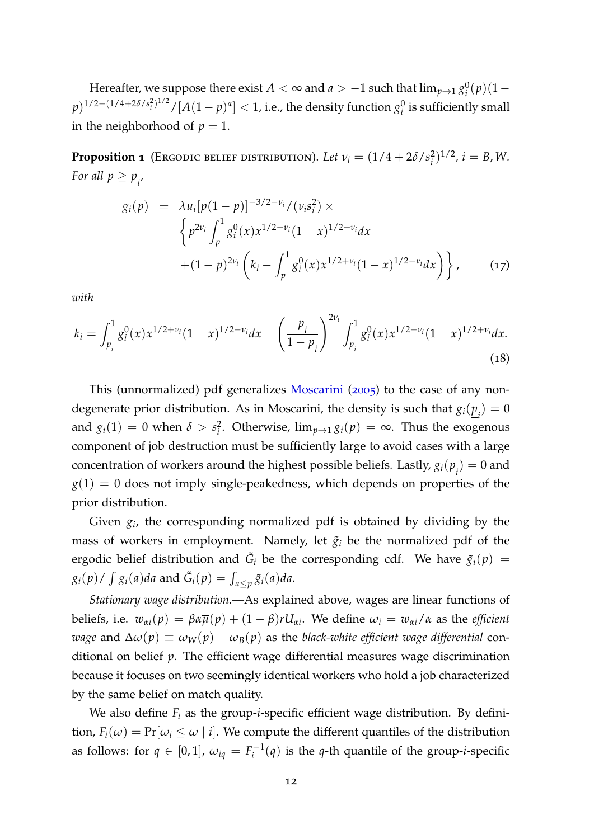Hereafter, we suppose there exist  $A<\infty$  and  $a>-1$  such that  $\lim_{p\rightarrow 1} g_{i}^{0}$ *i* (*p*)(1−  $p)^{1/2-(1/4+2\delta/s_i^2)^{1/2}}/[A(1-p)^a]<1$ , i.e., the density function  $g_i^0$  $\frac{0}{i}$  is sufficiently small in the neighborhood of  $p = 1$ .

<span id="page-13-0"></span>**Proposition 1** (Ergodic belief distribution). Let  $v_i = (1/4 + 2\delta/s_i^2)$  $i^{2}$ <sup>2</sup>, *i* = *B*, *W*. *For all*  $p \geq p_{i'}$ 

$$
g_i(p) = \lambda u_i [p(1-p)]^{-3/2-\nu_i} / (\nu_i s_i^2) \times
$$
  
\n
$$
\left\{ p^{2\nu_i} \int_p^1 g_i^0(x) x^{1/2-\nu_i} (1-x)^{1/2+\nu_i} dx \right.
$$
  
\n
$$
+ (1-p)^{2\nu_i} \left( k_i - \int_p^1 g_i^0(x) x^{1/2+\nu_i} (1-x)^{1/2-\nu_i} dx \right) \right\},
$$
 (17)

*with*

$$
k_i = \int_{\underline{p}_i}^1 g_i^0(x) x^{1/2 + \nu_i} (1 - x)^{1/2 - \nu_i} dx - \left(\frac{\underline{p}_i}{1 - \underline{p}_i}\right)^{2\nu_i} \int_{\underline{p}_i}^1 g_i^0(x) x^{1/2 - \nu_i} (1 - x)^{1/2 + \nu_i} dx.
$$
\n(18)

This (unnormalized) pdf generalizes [Moscarini](#page-35-0) ([2005](#page-35-0)) to the case of any nondegenerate prior distribution. As in Moscarini, the density is such that  $g_i(\underline{p}_i) = 0$ and  $g_i(1) = 0$  when  $\delta > s_i^2$ *i* . Otherwise, lim*p*→<sup>1</sup> *gi*(*p*) = ∞. Thus the exogenous component of job destruction must be sufficiently large to avoid cases with a large concentration of workers around the highest possible beliefs. Lastly,  $g_i(\underline{p}_i) = 0$  and  $g(1) = 0$  does not imply single-peakedness, which depends on properties of the prior distribution.

Given *g<sup>i</sup>* , the corresponding normalized pdf is obtained by dividing by the mass of workers in employment. Namely, let  $\tilde{g}_i$  be the normalized pdf of the ergodic belief distribution and  $\tilde{G}_i$  be the corresponding cdf. We have  $\tilde{g}_i(p)$  =  $g_i(p)$  /  $\int g_i(a)da$  and  $\tilde{G}_i(p) = \int_{a \leq p} \tilde{g}_i(a)da$ .

*Stationary wage distribution.*—As explained above, wages are linear functions of beliefs, i.e.  $w_{\alpha i}(p) = \beta \alpha \overline{\mu}(p) + (1 - \beta) r U_{\alpha i}$ . We define  $\omega_i = w_{\alpha i}/\alpha$  as the *efficient wage* and  $Δω(p) ≡ ω<sub>W</sub>(p) − ω<sub>B</sub>(p)$  as the *black-white efficient wage differential* conditional on belief *p*. The efficient wage differential measures wage discrimination because it focuses on two seemingly identical workers who hold a job characterized by the same belief on match quality.

We also define  $F_i$  as the group-*i*-specific efficient wage distribution. By definition,  $F_i(\omega) = \Pr[\omega_i \leq \omega \mid i]$ . We compute the different quantiles of the distribution as follows: for  $q \in [0, 1]$ ,  $\omega_{iq} = F_i^{-1}$  $i_i^{-1}(q)$  is the *q*-th quantile of the group-*i*-specific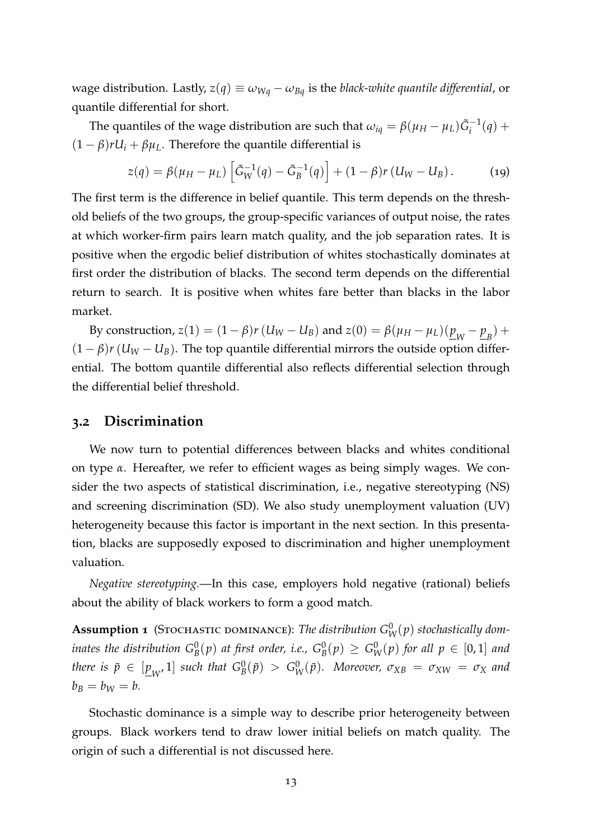wage distribution. Lastly,  $z(q) \equiv \omega_{Wq} - \omega_{Bq}$  is the *black-white quantile differential*, or quantile differential for short.

The quantiles of the wage distribution are such that  $\omega_{iq} = \beta(\mu_H - \mu_L)\tilde{G}_i^{-1}(q) + \tilde{G}_i^{-1}(q)$  $(1 - \beta)rU_i + \beta\mu_L$ . Therefore the quantile differential is

$$
z(q) = \beta(\mu_H - \mu_L) \left[ \tilde{G}_W^{-1}(q) - \tilde{G}_B^{-1}(q) \right] + (1 - \beta) r (U_W - U_B).
$$
 (19)

The first term is the difference in belief quantile. This term depends on the threshold beliefs of the two groups, the group-specific variances of output noise, the rates at which worker-firm pairs learn match quality, and the job separation rates. It is positive when the ergodic belief distribution of whites stochastically dominates at first order the distribution of blacks. The second term depends on the differential return to search. It is positive when whites fare better than blacks in the labor market.

By construction,  $z(1) = (1 - \beta)r(U_W - U_B)$  and  $z(0) = \beta(\mu_H - \mu_L)(\underline{p}_W - \underline{p}_B) + \beta(\mu_H - \mu_L)(\mu_H - \mu_L)$  $(1 - \beta)r$  ( $U_W - U_B$ ). The top quantile differential mirrors the outside option differential. The bottom quantile differential also reflects differential selection through the differential belief threshold.

#### <span id="page-14-0"></span>**3.2 Discrimination**

We now turn to potential differences between blacks and whites conditional on type *α*. Hereafter, we refer to efficient wages as being simply wages. We consider the two aspects of statistical discrimination, i.e., negative stereotyping (NS) and screening discrimination (SD). We also study unemployment valuation (UV) heterogeneity because this factor is important in the next section. In this presentation, blacks are supposedly exposed to discrimination and higher unemployment valuation.

*Negative stereotyping.*—In this case, employers hold negative (rational) beliefs about the ability of black workers to form a good match.

**Assumption 1** (STOCHASTIC DOMINANCE): *The distribution*  $G_W^0(p)$  *stochastically dom*inates the distribution  $G^0_B(p)$  at first order, i.e.,  $G^0_B(p)\,\geq\,G^0_W(p)$  for all  $p\,\in\,[0,1]$  and  $t$ *here is*  $\tilde{p} \in [\underline{p}_W, 1]$  *such that*  $G_B^0(\tilde{p}) > G_W^0(\tilde{p})$ *. Moreover,*  $\sigma_{XB} = \sigma_{XW} = \sigma_X$  and  $b_B = b_W = b$ .

<span id="page-14-1"></span>Stochastic dominance is a simple way to describe prior heterogeneity between groups. Black workers tend to draw lower initial beliefs on match quality. The origin of such a differential is not discussed here.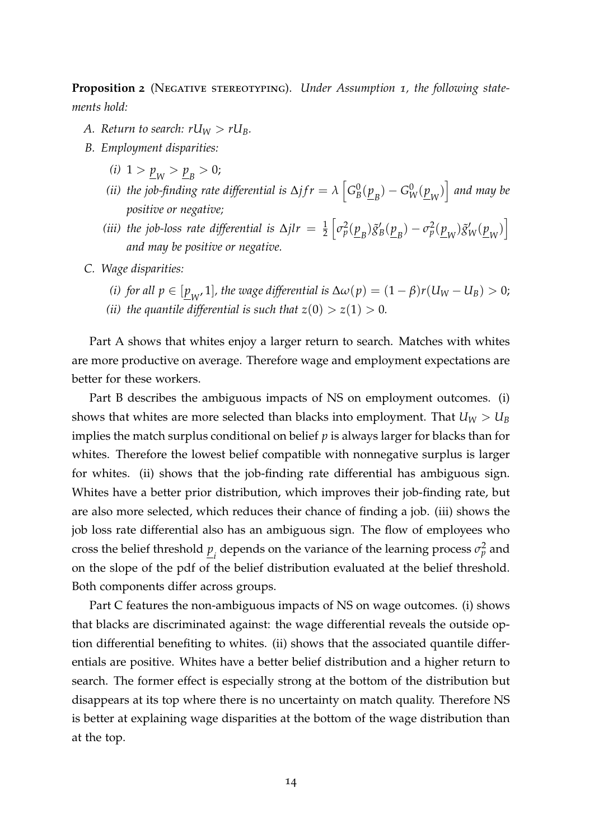**Proposition 2** (NEGATIVE STEREOTYPING). Under Assumption 1, the following state*ments hold:*

- *A. Return to search:*  $rU_W > rU_B$ *.*
- *B. Employment disparities:*
	- (*i*)  $1 > p_W > p_B > 0$ ;
	- *(ii) the job-finding rate differential is*  $\Delta f r = \lambda \left[ G^0_E \right]$  $\left[\frac{0}{B}(\underline{p}_B) - G_W^0(\underline{p}_W)\right]$  and may be *positive or negative;*
	- (*iii*) the job-loss rate differential is  $\Delta jlr = \frac{1}{2}$  $\left[\sigma_p^2(\underline{p}_B)\tilde{g}_1\right]$  $g'_{B}(\underline{p}_{B}) - \sigma_p^2(\underline{p}_{W})\tilde{g}'_{W}(\underline{p}_{W})$ *and may be positive or negative.*
- *C. Wage disparities:*
	- *(i) for all*  $p \in [\underline{p}_W, 1]$ *, the wage differential is*  $\Delta \omega(p) = (1 \beta)r(U_W U_B) > 0$ ;
	- *(ii) the quantile differential is such that*  $z(0) > z(1) > 0$ *.*

Part A shows that whites enjoy a larger return to search. Matches with whites are more productive on average. Therefore wage and employment expectations are better for these workers.

Part B describes the ambiguous impacts of NS on employment outcomes. (i) shows that whites are more selected than blacks into employment. That  $U_W > U_B$ implies the match surplus conditional on belief *p* is always larger for blacks than for whites. Therefore the lowest belief compatible with nonnegative surplus is larger for whites. (ii) shows that the job-finding rate differential has ambiguous sign. Whites have a better prior distribution, which improves their job-finding rate, but are also more selected, which reduces their chance of finding a job. (iii) shows the job loss rate differential also has an ambiguous sign. The flow of employees who cross the belief threshold  $\underline{p}_i$  depends on the variance of the learning process  $\sigma_p^2$  and on the slope of the pdf of the belief distribution evaluated at the belief threshold. Both components differ across groups.

Part C features the non-ambiguous impacts of NS on wage outcomes. (i) shows that blacks are discriminated against: the wage differential reveals the outside option differential benefiting to whites. (ii) shows that the associated quantile differentials are positive. Whites have a better belief distribution and a higher return to search. The former effect is especially strong at the bottom of the distribution but disappears at its top where there is no uncertainty on match quality. Therefore NS is better at explaining wage disparities at the bottom of the wage distribution than at the top.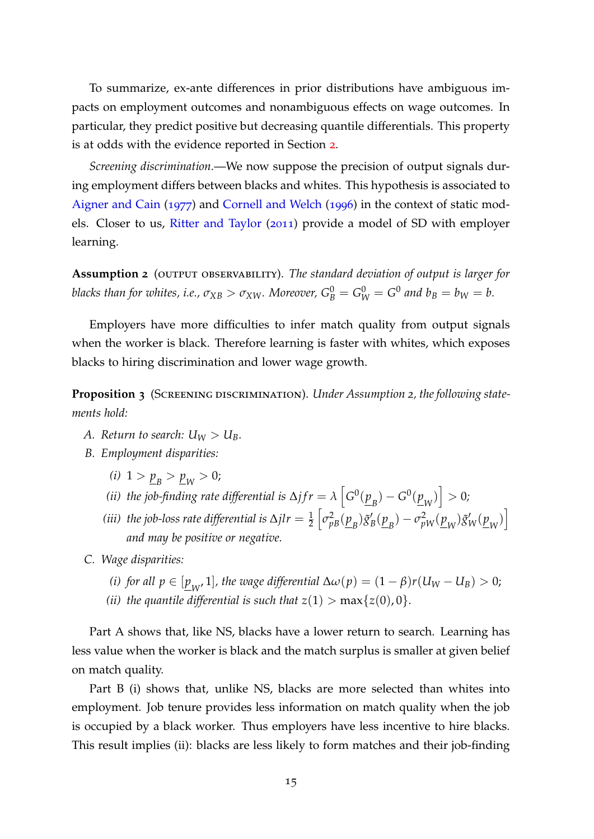To summarize, ex-ante differences in prior distributions have ambiguous impacts on employment outcomes and nonambiguous effects on wage outcomes. In particular, they predict positive but decreasing quantile differentials. This property is at odds with the evidence reported in Section [2](#page-5-0).

*Screening discrimination.*—We now suppose the precision of output signals during employment differs between blacks and whites. This hypothesis is associated to [Aigner and Cain](#page-34-10) ([1977](#page-34-10)) and [Cornell and Welch](#page-34-11) ([1996](#page-34-11)) in the context of static models. Closer to us, [Ritter and Taylor](#page-36-2) ([2011](#page-36-2)) provide a model of SD with employer learning.

**Assumption 2** (output observability). *The standard deviation of output is larger for blacks than for whites, i.e.,*  $\sigma_{XB} > \sigma_{XW}$ *. Moreover,*  $G_B^0 = G_W^0 = G^0$  *and*  $b_B = b_W = b$ *.* 

Employers have more difficulties to infer match quality from output signals when the worker is black. Therefore learning is faster with whites, which exposes blacks to hiring discrimination and lower wage growth.

<span id="page-16-0"></span>**Proposition 3** (SCREENING DISCRIMINATION). *Under Assumption 2, the following statements hold:*

- *A. Return to search:*  $U_W > U_B$ *.*
- *B. Employment disparities:*
	- (*i*)  $1 > p_B > p_W > 0$ ;
	- (*ii*) *the job-finding rate differential is*  $\Delta j f r = \lambda \left[ G^0(\underline{p}_B) G^0(\underline{p}_W) \right] > 0$ *;*
	- (*iii*) the job-loss rate differential is  $\Delta$ jl $r = \frac{1}{2}$  $\left[\sigma_{pB}^2(\underline{p}_B)\tilde{g}'_B\right]$  $g'_{B}(\underline{p}_{B}) - \sigma_{pW}^{2}(\underline{p}_{W})\tilde{g}'_{W}(\underline{p}_{W})$ *and may be positive or negative.*
- *C. Wage disparities:*
	- *(i) for all*  $p \in [\underline{p}_W, 1]$ *, the wage differential*  $\Delta \omega(p) = (1 \beta)r(U_W U_B) > 0;$
	- *(ii) the quantile differential is such that*  $z(1) > \max\{z(0), 0\}$ *.*

Part A shows that, like NS, blacks have a lower return to search. Learning has less value when the worker is black and the match surplus is smaller at given belief on match quality.

Part B (i) shows that, unlike NS, blacks are more selected than whites into employment. Job tenure provides less information on match quality when the job is occupied by a black worker. Thus employers have less incentive to hire blacks. This result implies (ii): blacks are less likely to form matches and their job-finding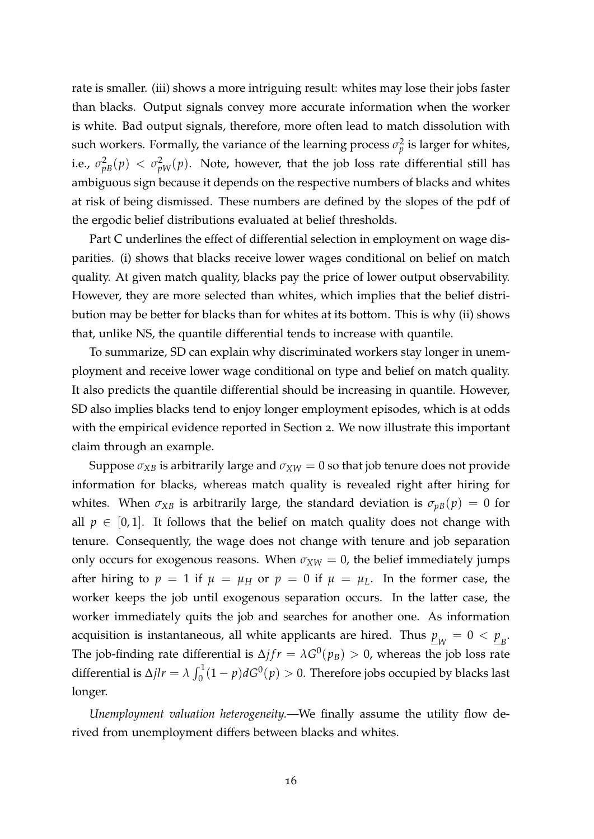rate is smaller. (iii) shows a more intriguing result: whites may lose their jobs faster than blacks. Output signals convey more accurate information when the worker is white. Bad output signals, therefore, more often lead to match dissolution with such workers. Formally, the variance of the learning process  $\sigma_p^2$  is larger for whites, i.e.,  $\sigma^2_{pB}(p) < \sigma^2_{pW}(p)$ . Note, however, that the job loss rate differential still has ambiguous sign because it depends on the respective numbers of blacks and whites at risk of being dismissed. These numbers are defined by the slopes of the pdf of the ergodic belief distributions evaluated at belief thresholds.

Part C underlines the effect of differential selection in employment on wage disparities. (i) shows that blacks receive lower wages conditional on belief on match quality. At given match quality, blacks pay the price of lower output observability. However, they are more selected than whites, which implies that the belief distribution may be better for blacks than for whites at its bottom. This is why (ii) shows that, unlike NS, the quantile differential tends to increase with quantile.

To summarize, SD can explain why discriminated workers stay longer in unemployment and receive lower wage conditional on type and belief on match quality. It also predicts the quantile differential should be increasing in quantile. However, SD also implies blacks tend to enjoy longer employment episodes, which is at odds with the empirical evidence reported in Section 2. We now illustrate this important claim through an example.

Suppose  $\sigma_{XB}$  is arbitrarily large and  $\sigma_{XW} = 0$  so that job tenure does not provide information for blacks, whereas match quality is revealed right after hiring for whites. When  $\sigma_{XB}$  is arbitrarily large, the standard deviation is  $\sigma_{pB}(p) = 0$  for all  $p \in [0,1]$ . It follows that the belief on match quality does not change with tenure. Consequently, the wage does not change with tenure and job separation only occurs for exogenous reasons. When  $\sigma_{XW} = 0$ , the belief immediately jumps after hiring to  $p = 1$  if  $\mu = \mu_H$  or  $p = 0$  if  $\mu = \mu_L$ . In the former case, the worker keeps the job until exogenous separation occurs. In the latter case, the worker immediately quits the job and searches for another one. As information acquisition is instantaneous, all white applicants are hired. Thus  $\underline{p}_W = 0 < \underline{p}_B.$ The job-finding rate differential is  $\Delta f f = \lambda G^0(p_B) > 0$ , whereas the job loss rate differential is  $\Delta j l r = \lambda \int_0^1 (1 - p) dG^0(p) > 0$ . Therefore jobs occupied by blacks last longer.

*Unemployment valuation heterogeneity.—*We finally assume the utility flow derived from unemployment differs between blacks and whites.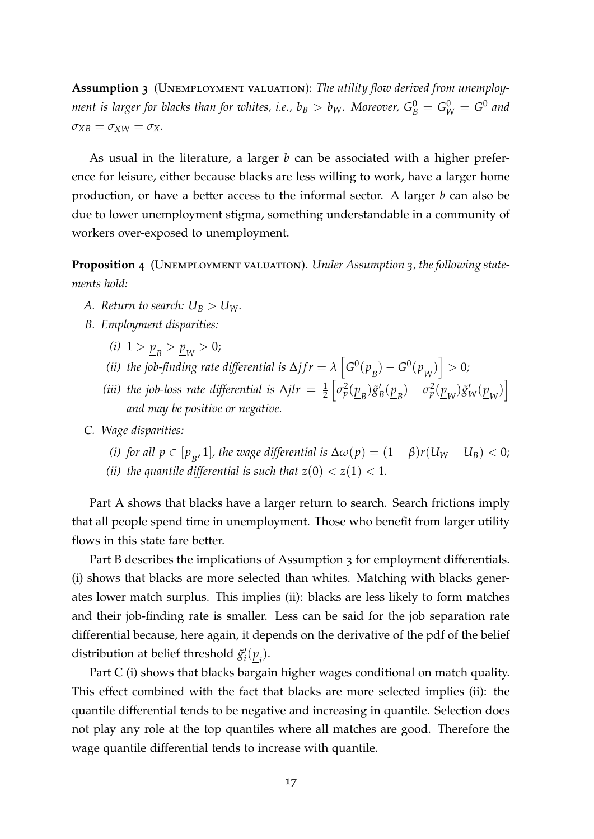Assumption 3 (UNEMPLOYMENT VALUATION): The utility flow derived from unemploy*ment is larger for blacks than for whites, i.e.,*  $b_B > b_W$ *. Moreover,*  $G_B^0 = G_W^0 = G^0$  *and*  $\sigma_{XB} = \sigma_{XW} = \sigma_X$ .

As usual in the literature, a larger *b* can be associated with a higher preference for leisure, either because blacks are less willing to work, have a larger home production, or have a better access to the informal sector. A larger *b* can also be due to lower unemployment stigma, something understandable in a community of workers over-exposed to unemployment.

<span id="page-18-0"></span>**Proposition 4** (UNEMPLOYMENT VALUATION). *Under Assumption 3, the following statements hold:*

- *A. Return to search:*  $U_B > U_W$ *.*
- *B. Employment disparities:*
	- (*i*)  $1 > p_B > p_W > 0$ ;
	- *(ii) the job-finding rate differential is*  $\Delta j f r = \lambda \left[ G^0(\underline{p}_B) G^0(\underline{p}_W) \right] > 0$ *;*
	- (*iii*) the job-loss rate differential is  $\Delta jlr = \frac{1}{2}$  $\left[\sigma_p^2(\underline{p}_B)\tilde{g}_1\right]$  $g'_{B}(\underline{p}_{B}) - \sigma_p^2(\underline{p}_{W})\tilde{g}'_{W}(\underline{p}_{W})$ *and may be positive or negative.*
- *C. Wage disparities:*
	- *(i) for all*  $p \in [\underline{p}_B, 1]$ *, the wage differential is*  $\Delta \omega(p) = (1 \beta)r(U_W U_B) < 0;$
	- *(ii) the quantile differential is such that*  $z(0) < z(1) < 1$ *.*

Part A shows that blacks have a larger return to search. Search frictions imply that all people spend time in unemployment. Those who benefit from larger utility flows in this state fare better.

Part B describes the implications of Assumption 3 for employment differentials. (i) shows that blacks are more selected than whites. Matching with blacks generates lower match surplus. This implies (ii): blacks are less likely to form matches and their job-finding rate is smaller. Less can be said for the job separation rate differential because, here again, it depends on the derivative of the pdf of the belief distribution at belief threshold  $\tilde{g}^{\prime}$  $i'(\underline{p}_i)$ .

Part C (i) shows that blacks bargain higher wages conditional on match quality. This effect combined with the fact that blacks are more selected implies (ii): the quantile differential tends to be negative and increasing in quantile. Selection does not play any role at the top quantiles where all matches are good. Therefore the wage quantile differential tends to increase with quantile.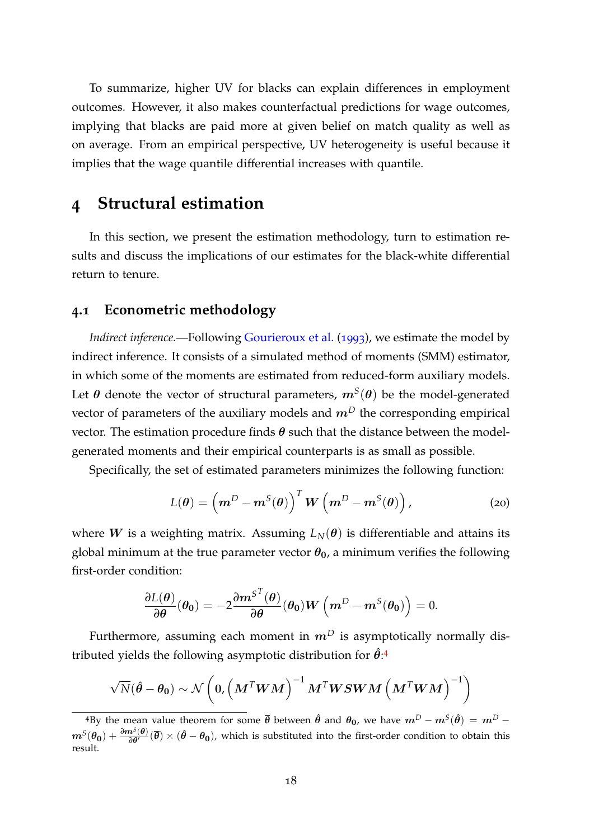To summarize, higher UV for blacks can explain differences in employment outcomes. However, it also makes counterfactual predictions for wage outcomes, implying that blacks are paid more at given belief on match quality as well as on average. From an empirical perspective, UV heterogeneity is useful because it implies that the wage quantile differential increases with quantile.

### <span id="page-19-0"></span>**4 Structural estimation**

In this section, we present the estimation methodology, turn to estimation results and discuss the implications of our estimates for the black-white differential return to tenure.

#### **4.1 Econometric methodology**

*Indirect inference.*—Following [Gourieroux et al.](#page-35-11) ([1993](#page-35-11)), we estimate the model by indirect inference. It consists of a simulated method of moments (SMM) estimator, in which some of the moments are estimated from reduced-form auxiliary models. Let  $\boldsymbol{\theta}$  denote the vector of structural parameters,  $\boldsymbol{m}^S(\boldsymbol{\theta})$  be the model-generated vector of parameters of the auxiliary models and  $m<sup>D</sup>$  the corresponding empirical vector. The estimation procedure finds  $\theta$  such that the distance between the modelgenerated moments and their empirical counterparts is as small as possible.

Specifically, the set of estimated parameters minimizes the following function:

<span id="page-19-2"></span>
$$
L(\boldsymbol{\theta}) = \left(\boldsymbol{m}^D - \boldsymbol{m}^S(\boldsymbol{\theta})\right)^T \boldsymbol{W} \left(\boldsymbol{m}^D - \boldsymbol{m}^S(\boldsymbol{\theta})\right), \tag{20}
$$

where W is a weighting matrix. Assuming  $L_N(\theta)$  is differentiable and attains its global minimum at the true parameter vector  $\theta_0$ , a minimum verifies the following first-order condition:

$$
\frac{\partial L(\boldsymbol{\theta})}{\partial \boldsymbol{\theta}}(\boldsymbol{\theta_0}) = -2\frac{\partial \boldsymbol{m}^{S^{T}}(\boldsymbol{\theta})}{\partial \boldsymbol{\theta}}(\boldsymbol{\theta_0})\boldsymbol{W}\left(\boldsymbol{m}^{D} - \boldsymbol{m}^{S}(\boldsymbol{\theta_0})\right) = 0.
$$

Furthermore, assuming each moment in  $m<sup>D</sup>$  is asymptotically normally distributed yields the following asymptotic distribution for  $\hat{\theta}$ :<sup>[4](#page-19-1)</sup>

$$
\sqrt{N}(\boldsymbol{\hat{\theta}} - \boldsymbol{\theta_0}) \sim \mathcal{N}\left(\boldsymbol{0}, \left(\boldsymbol{M}^T\boldsymbol{W}\boldsymbol{M}\right)^{-1}\boldsymbol{M}^T\boldsymbol{W}\boldsymbol{S}\boldsymbol{W}\boldsymbol{M}\left(\boldsymbol{M}^T\boldsymbol{W}\boldsymbol{M}\right)^{-1}\right)
$$

<span id="page-19-1"></span> $^{4}$ By the mean value theorem for some  $\overline{\theta}$  between  $\hat{\theta}$  and  $\theta_0$ , we have  $m^{D}-m^{S}(\hat{\theta})\,=\,m^{D}-\theta_0$  $m^S(\theta_0)+\frac{\partial m^S(\theta)}{\partial \theta'}(\overline{\theta})\times (\hat{\theta}-\theta_0)$ , which is substituted into the first-order condition to obtain this result.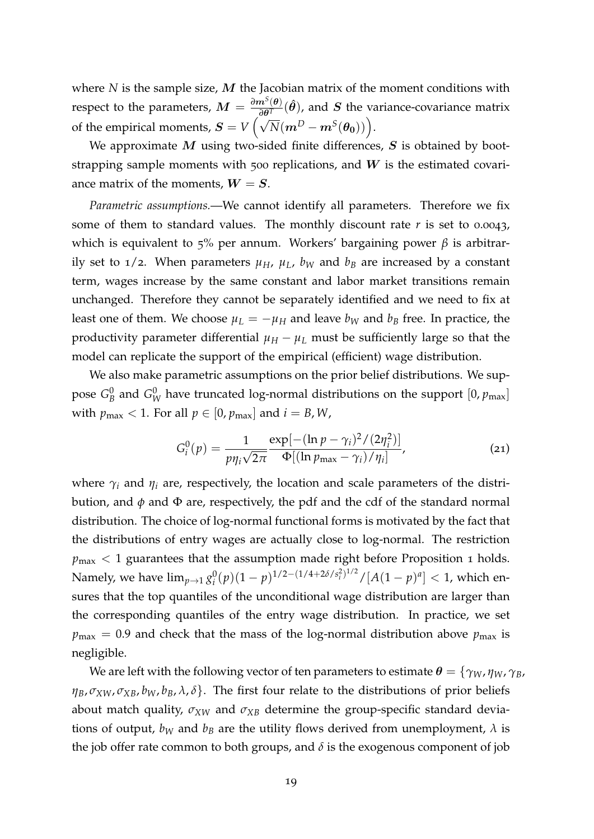where *N* is the sample size, *M* the Jacobian matrix of the moment conditions with respect to the parameters,  $M = \frac{\partial m^S(\theta)}{\partial \theta^T}$  $\frac{n^{\circ}(\theta)}{\partial \theta^T}(\hat{\theta})$ , and S the variance-covariance matrix of the empirical moments,  $S = V \left( \sqrt{N} (m^D - m^S(\theta_0)) \right)$ .

We approximate  $M$  using two-sided finite differences,  $S$  is obtained by bootstrapping sample moments with 500 replications, and  $W$  is the estimated covariance matrix of the moments,  $W = S$ .

*Parametric assumptions.*—We cannot identify all parameters. Therefore we fix some of them to standard values. The monthly discount rate  $r$  is set to 0.0043, which is equivalent to 5% per annum. Workers' bargaining power *β* is arbitrarily set to  $1/2$ . When parameters  $\mu_H$ ,  $\mu_L$ ,  $b_W$  and  $b_B$  are increased by a constant term, wages increase by the same constant and labor market transitions remain unchanged. Therefore they cannot be separately identified and we need to fix at least one of them. We choose  $\mu_L = -\mu_H$  and leave  $b_W$  and  $b_B$  free. In practice, the productivity parameter differential  $\mu_H - \mu_L$  must be sufficiently large so that the model can replicate the support of the empirical (efficient) wage distribution.

We also make parametric assumptions on the prior belief distributions. We suppose  $G_{\!B}^0$  $^0_B$  and  $G^0_W$  have truncated log-normal distributions on the support  $[0,p_{\max}]$ with  $p_{\text{max}} < 1$ . For all  $p \in [0, p_{\text{max}}]$  and  $i = B, W$ ,

$$
G_i^0(p) = \frac{1}{p\eta_i\sqrt{2\pi}} \frac{\exp[-(\ln p - \gamma_i)^2/(2\eta_i^2)]}{\Phi[(\ln p_{\max} - \gamma_i)/\eta_i]},
$$
\n(21)

where  $\gamma_i$  and  $\eta_i$  are, respectively, the location and scale parameters of the distribution, and  $\phi$  and  $\Phi$  are, respectively, the pdf and the cdf of the standard normal distribution. The choice of log-normal functional forms is motivated by the fact that the distributions of entry wages are actually close to log-normal. The restriction  $p_{\text{max}} < 1$  guarantees that the assumption made right before Proposition 1 holds. Namely, we have  $\lim_{p\to 1} g_i^0$  $\int_{i}^{0}(p)(1-p)^{1/2-(1/4+2\delta/s_i^2)^{1/2}}/[A(1-p)^a] < 1$ , which ensures that the top quantiles of the unconditional wage distribution are larger than the corresponding quantiles of the entry wage distribution. In practice, we set  $p_{\text{max}} = 0.9$  and check that the mass of the log-normal distribution above  $p_{\text{max}}$  is negligible.

We are left with the following vector of ten parameters to estimate  $\theta = {\gamma_W, \eta_W, \gamma_B}$ ,  $\eta_B$ ,  $\sigma_{XW}$ ,  $\sigma_{XB}$ ,  $b_W$ ,  $b_B$ ,  $\lambda$ ,  $\delta$ . The first four relate to the distributions of prior beliefs about match quality,  $\sigma_{XW}$  and  $\sigma_{XB}$  determine the group-specific standard deviations of output,  $b_W$  and  $b_B$  are the utility flows derived from unemployment,  $\lambda$  is the job offer rate common to both groups, and  $\delta$  is the exogenous component of job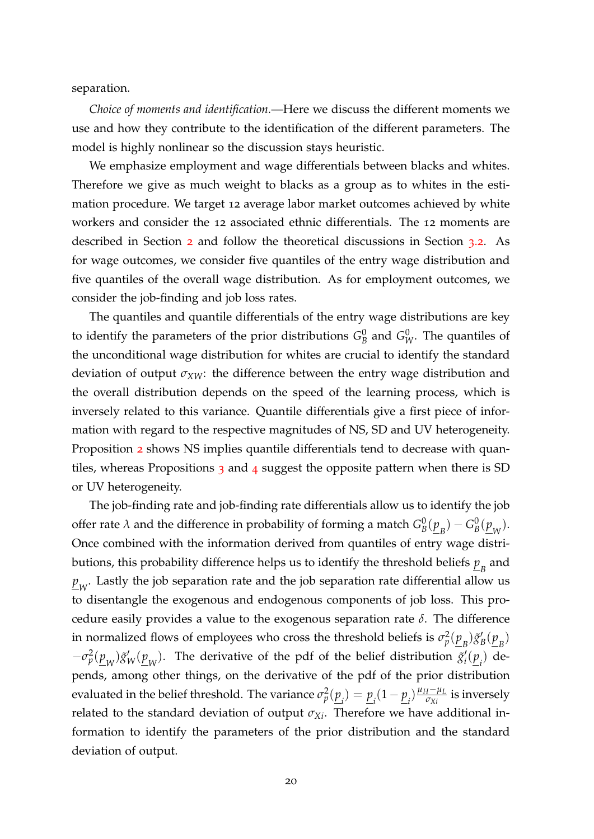separation.

*Choice of moments and identification.*—Here we discuss the different moments we use and how they contribute to the identification of the different parameters. The model is highly nonlinear so the discussion stays heuristic.

We emphasize employment and wage differentials between blacks and whites. Therefore we give as much weight to blacks as a group as to whites in the estimation procedure. We target 12 average labor market outcomes achieved by white workers and consider the 12 associated ethnic differentials. The 12 moments are described in Section [2](#page-5-0) and follow the theoretical discussions in Section [3](#page-14-0).2. As for wage outcomes, we consider five quantiles of the entry wage distribution and five quantiles of the overall wage distribution. As for employment outcomes, we consider the job-finding and job loss rates.

The quantiles and quantile differentials of the entry wage distributions are key to identify the parameters of the prior distributions  $G_F^0$  $^0_B$  and  $G^0_W$ . The quantiles of the unconditional wage distribution for whites are crucial to identify the standard deviation of output *σXW*: the difference between the entry wage distribution and the overall distribution depends on the speed of the learning process, which is inversely related to this variance. Quantile differentials give a first piece of information with regard to the respective magnitudes of NS, SD and UV heterogeneity. Proposition [2](#page-14-1) shows NS implies quantile differentials tend to decrease with quan-tiles, whereas Propositions [3](#page-16-0) and [4](#page-18-0) suggest the opposite pattern when there is SD or UV heterogeneity.

The job-finding rate and job-finding rate differentials allow us to identify the job offer rate  $\lambda$  and the difference in probability of forming a match  $G_{E}^{0}$  $B^0(\underline{p}_B) - G^0_B$  $\frac{0}{B}(\underline{p}_W)$ . Once combined with the information derived from quantiles of entry wage distributions, this probability difference helps us to identify the threshold beliefs  $\underline{p}_{B}$  and  $\frac{p}{\omega_W}$ . Lastly the job separation rate and the job separation rate differential allow us to disentangle the exogenous and endogenous components of job loss. This procedure easily provides a value to the exogenous separation rate *δ*. The difference in normalized flows of employees who cross the threshold beliefs is  $\sigma_p^2(\underline{p}_B)\tilde{g}_1^p$  $\frac{B(p_B)}{B}$  $-\sigma_p^2(\underline{p}_W)\tilde{g}'_W(\underline{p}_W)$ . The derivative of the pdf of the belief distribution  $\tilde{g}'_i$  $\sum_{i}^{\prime}$  ( $\underline{p}_{i}$ ) depends, among other things, on the derivative of the pdf of the prior distribution evaluated in the belief threshold. The variance  $\sigma_p^2(\underline{p}_i) = \underline{p}_i (1 - \underline{p}_i) \frac{\mu_H - \mu_L}{\sigma_{Xi}}$  $\frac{d^2 - \mu_L}{\sigma_{Xi}}$  is inversely related to the standard deviation of output  $\sigma_{Xi}$ . Therefore we have additional information to identify the parameters of the prior distribution and the standard deviation of output.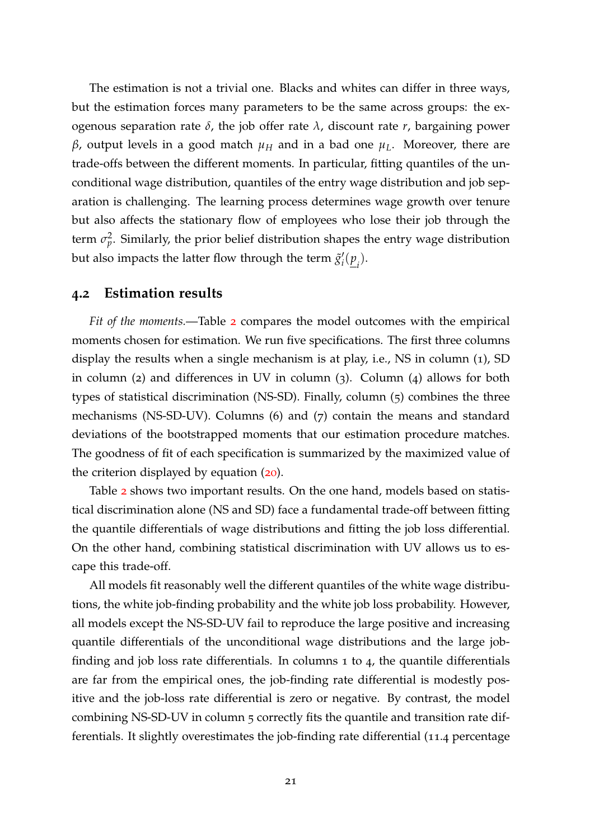The estimation is not a trivial one. Blacks and whites can differ in three ways, but the estimation forces many parameters to be the same across groups: the exogenous separation rate *δ*, the job offer rate *λ*, discount rate *r*, bargaining power *β*, output levels in a good match *µ<sup>H</sup>* and in a bad one *µL*. Moreover, there are trade-offs between the different moments. In particular, fitting quantiles of the unconditional wage distribution, quantiles of the entry wage distribution and job separation is challenging. The learning process determines wage growth over tenure but also affects the stationary flow of employees who lose their job through the term  $\sigma_p^2$ . Similarly, the prior belief distribution shapes the entry wage distribution but also impacts the latter flow through the term  $\tilde{g}^{\prime}$  $\frac{f_i(p_i)}{p_i}$ .

#### **4.2 Estimation results**

*Fit of the moments.*—Table [2](#page-23-0) compares the model outcomes with the empirical moments chosen for estimation. We run five specifications. The first three columns display the results when a single mechanism is at play, i.e., NS in column (1), SD in column (2) and differences in UV in column (3). Column (4) allows for both types of statistical discrimination (NS-SD). Finally, column (5) combines the three mechanisms (NS-SD-UV). Columns (6) and (7) contain the means and standard deviations of the bootstrapped moments that our estimation procedure matches. The goodness of fit of each specification is summarized by the maximized value of the criterion displayed by equation ([20](#page-19-2)).

Table [2](#page-23-0) shows two important results. On the one hand, models based on statistical discrimination alone (NS and SD) face a fundamental trade-off between fitting the quantile differentials of wage distributions and fitting the job loss differential. On the other hand, combining statistical discrimination with UV allows us to escape this trade-off.

All models fit reasonably well the different quantiles of the white wage distributions, the white job-finding probability and the white job loss probability. However, all models except the NS-SD-UV fail to reproduce the large positive and increasing quantile differentials of the unconditional wage distributions and the large jobfinding and job loss rate differentials. In columns 1 to 4, the quantile differentials are far from the empirical ones, the job-finding rate differential is modestly positive and the job-loss rate differential is zero or negative. By contrast, the model combining NS-SD-UV in column 5 correctly fits the quantile and transition rate differentials. It slightly overestimates the job-finding rate differential (11.4 percentage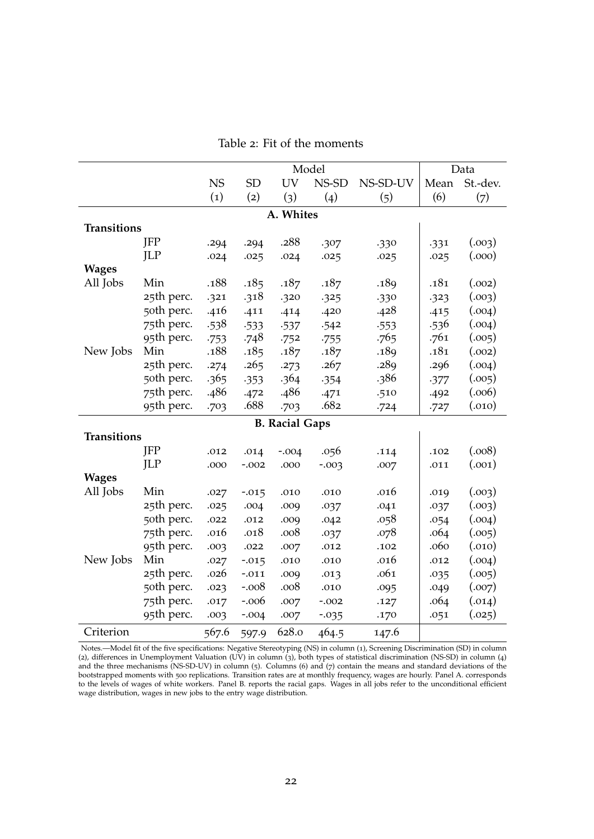<span id="page-23-0"></span>

|                    |            |           | Model     |                       |          |          |      | Data     |  |
|--------------------|------------|-----------|-----------|-----------------------|----------|----------|------|----------|--|
|                    |            | <b>NS</b> | <b>SD</b> | <b>UV</b>             | NS-SD    | NS-SD-UV | Mean | St.-dev. |  |
|                    |            | (1)       | (2)       | (3)                   | (4)      | (5)      | (6)  | (7)      |  |
| A. Whites          |            |           |           |                       |          |          |      |          |  |
| <b>Transitions</b> |            |           |           |                       |          |          |      |          |  |
|                    | <b>JFP</b> | .294      | .294      | .288                  | .307     | .330     | .331 | (.003)   |  |
|                    | <b>ILP</b> | .024      | .025      | .024                  | .025     | .025     | .025 | (.000)   |  |
| <b>Wages</b>       |            |           |           |                       |          |          |      |          |  |
| All Jobs           | Min        | .188      | .185      | .187                  | .187     | .189     | .181 | (.002)   |  |
|                    | 25th perc. | .321      | .318      | .320                  | .325     | .330     | .323 | (.003)   |  |
|                    | 50th perc. | .416      | .411      | .414                  | .420     | .428     | .415 | (.004)   |  |
|                    | 75th perc. | .538      | $-533$    | .537                  | .542     | .553     | .536 | (.004)   |  |
|                    | 95th perc. | $-753$    | .748      | .752                  | .755     | .765     | .761 | (.005)   |  |
| New Jobs           | Min        | .188      | .185      | .187                  | .187     | .189     | .181 | (.002)   |  |
|                    | 25th perc. | .274      | .265      | .273                  | .267     | .289     | .296 | (.004)   |  |
|                    | 50th perc. | .365      | $-353$    | .364                  | .354     | .386     | .377 | (.005)   |  |
|                    | 75th perc. | .486      | .472      | .486                  | .471     | .510     | .492 | (.006)   |  |
|                    | 95th perc. | .703      | .688      | .703                  | .682     | .724     | .727 | (.010)   |  |
|                    |            |           |           | <b>B. Racial Gaps</b> |          |          |      |          |  |
| <b>Transitions</b> |            |           |           |                       |          |          |      |          |  |
|                    | <b>JFP</b> | .012      | .014      | $-.004$               | .056     | .114     | .102 | (.008)   |  |
|                    | <b>ILP</b> | .000      | $-.002$   | .000                  | $-0.003$ | .007     | .011 | (.001)   |  |
| <b>Wages</b>       |            |           |           |                       |          |          |      |          |  |
| All Jobs           | Min        | .027      | $-0.015$  | .010                  | .010     | .016     | .019 | (.003)   |  |
|                    | 25th perc. | .025      | .004      | .009                  | .037     | .041     | .037 | (.003)   |  |
|                    | 50th perc. | .022      | .012      | .009                  | .042     | .058     | .054 | (.004)   |  |
|                    | 75th perc. | .016      | .018      | .008                  | .037     | .078     | .064 | (.005)   |  |
|                    | 95th perc. | .003      | .022      | .007                  | .012     | .102     | .060 | (.010)   |  |
| New Jobs           | Min        | .027      | $-0.015$  | .010                  | .010     | .016     | .012 | (.004)   |  |
|                    | 25th perc. | .026      | $-.011$   | .009                  | .013     | .061     | .035 | (.005)   |  |
|                    | 50th perc. | .023      | $-.008$   | .008                  | .010     | .095     | .049 | (.007)   |  |
|                    | 75th perc. | .017      | $-.006$   | .007                  | $-.002$  | .127     | .064 | (.014)   |  |
|                    | 95th perc. | .003      | $-.004$   | .007                  | $-0.035$ | .170     | .051 | (.025)   |  |
| Criterion          |            | 567.6     | 597.9     | 628.0                 | 464.5    | 147.6    |      |          |  |

Table 2: Fit of the moments

Notes.—Model fit of the five specifications: Negative Stereotyping (NS) in column (1), Screening Discrimination (SD) in column (2), differences in Unemployment Valuation (UV) in column (3), both types of statistical discrimination (NS-SD) in column (4) and the three mechanisms (NS-SD-UV) in column (5). Columns (6) and (7) contain the means and standard deviations of the bootstrapped moments with 500 replications. Transition rates are at monthly frequency, wages are hourly. Panel A. corresponds to the levels of wages of white workers. Panel B. reports the racial gaps. Wages in all jobs refer to the unconditional efficient wage distribution, wages in new jobs to the entry wage distribution.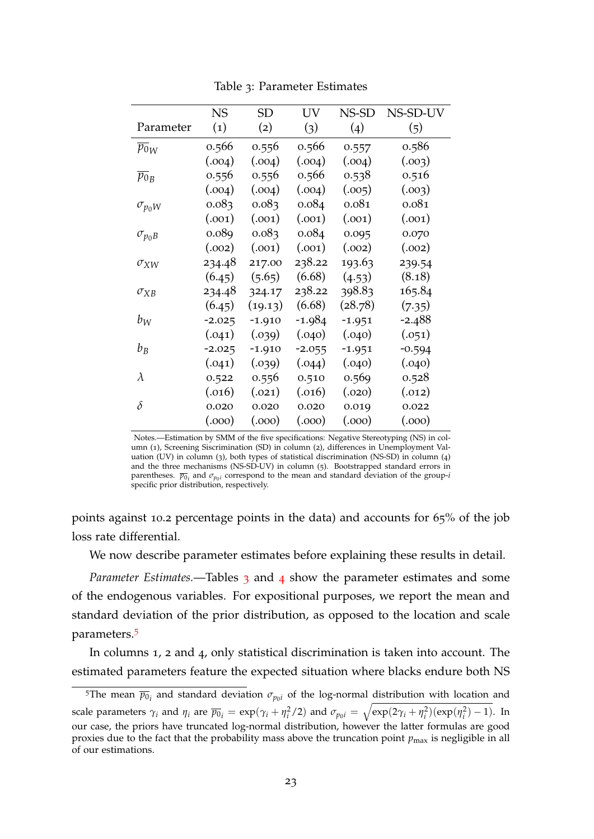<span id="page-24-0"></span>

|                    | <b>NS</b> | <b>SD</b> | UV       | NS-SD    | NS-SD-UV |
|--------------------|-----------|-----------|----------|----------|----------|
| Parameter          | (1)       | (2)       | (3)      | (4)      | (5)      |
| $p_{0W}$           | 0.566     | 0.556     | 0.566    | 0.557    | 0.586    |
|                    | (.004)    | (.004)    | (.004)   | (.004)   | (.003)   |
| $\overline{p_0}_B$ | 0.556     | 0.556     | 0.566    | 0.538    | 0.516    |
|                    | (.004)    | (.004)    | (.004)   | (.005)   | (.003)   |
| $\sigma_{p_0W}$    | 0.083     | 0.083     | 0.084    | 0.081    | 0.081    |
|                    | (.001)    | (.001)    | (.001)   | (.001)   | (.001)   |
| $\sigma_{p_0B}$    | 0.089     | 0.083     | 0.084    | 0.095    | 0.070    |
|                    | (.002)    | (.001)    | (.001)   | (.002)   | (.002)   |
| $\sigma_{XW}$      | 234.48    | 217.00    | 238.22   | 193.63   | 239.54   |
|                    | (6.45)    | (5.65)    | (6.68)   | (4.53)   | (8.18)   |
| $\sigma_{XB}$      | 234.48    | 324.17    | 238.22   | 398.83   | 165.84   |
|                    | (6.45)    | (19.13)   | (6.68)   | (28.78)  | (7.35)   |
| $b_W$              | $-2.025$  | $-1.910$  | $-1.984$ | $-1.951$ | $-2.488$ |
|                    | (.041)    | (.039)    | (.040)   | (.040)   | (.051)   |
| $b_B$              | $-2.025$  | $-1.910$  | $-2.055$ | $-1.951$ | $-0.594$ |
|                    | (.041)    | (.039)    | (.044)   | (.040)   | (.040)   |
| $\lambda$          | 0.522     | 0.556     | 0.510    | 0.569    | 0.528    |
|                    | (.016)    | (.021)    | (.016)   | (.020)   | (.012)   |
| $\delta$           | 0.020     | 0.020     | 0.020    | 0.019    | 0.022    |
|                    | (0.000)   | (.000)    | (0.000)  | (0.000)  | (0.000)  |

Table 3: Parameter Estimates

Notes.—Estimation by SMM of the five specifications: Negative Stereotyping (NS) in column (1), Screening Siscrimination (SD) in column (2), differences in Unemployment Valuation (UV) in column (3), both types of statistical discrimination (NS-SD) in column (4) and the three mechanisms (NS-SD-UV) in column (5). Bootstrapped standard errors in parentheses.  $\overline{p}_{0i}$  and  $\sigma_{p_0i}$  correspond to the mean and standard deviation of the group-*i* specific prior distribution, respectively.

points against 10.2 percentage points in the data) and accounts for 65% of the job loss rate differential.

We now describe parameter estimates before explaining these results in detail.

*Parameter Estimates.*—Tables [3](#page-24-0) and [4](#page-25-0) show the parameter estimates and some of the endogenous variables. For expositional purposes, we report the mean and standard deviation of the prior distribution, as opposed to the location and scale parameters.[5](#page-24-1)

In columns 1, 2 and 4, only statistical discrimination is taken into account. The estimated parameters feature the expected situation where blacks endure both NS

<span id="page-24-1"></span><sup>&</sup>lt;sup>5</sup>The mean  $\overline{p_{0}}_i$  and standard deviation  $\sigma_{p_0i}$  of the log-normal distribution with location and scale parameters  $\gamma_i$  and  $\eta_i$  are  $\overline{p_0}_i = \exp(\gamma_i + \eta_i^2/2)$  and  $\sigma_{p_0i} = \sqrt{\exp(2\gamma_i + \eta_i^2)(\exp(\eta_i^2) - 1)}$ . In our case, the priors have truncated log-normal distribution, however the latter formulas are good proxies due to the fact that the probability mass above the truncation point  $p_{\text{max}}$  is negligible in all of our estimations.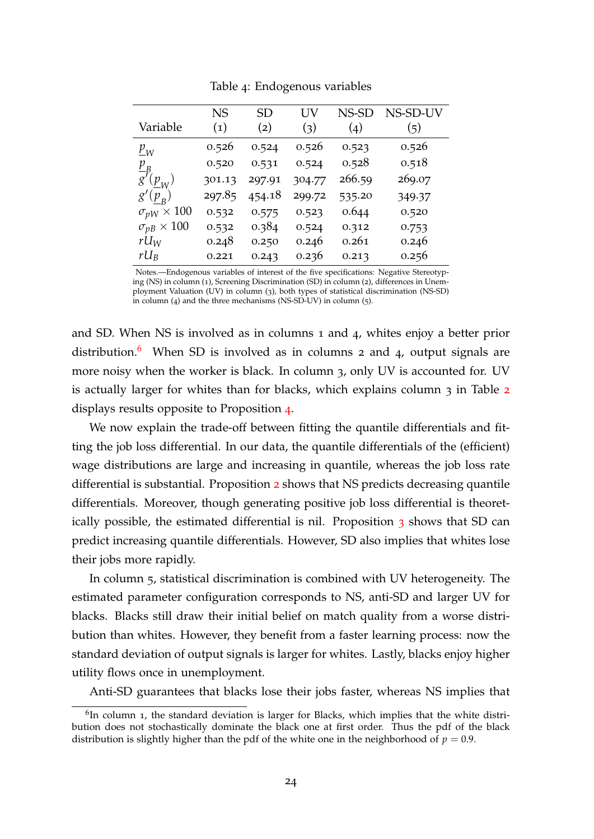<span id="page-25-0"></span>

|                          | <b>NS</b> | <b>SD</b> | UV     | NS-SD  | NS-SD-UV |
|--------------------------|-----------|-----------|--------|--------|----------|
| Variable                 | (1)       | (2)       | (3)    | (4)    | (5)      |
| $p_{W}$                  | 0.526     | 0.524     | 0.526  | 0.523  | 0.526    |
| $p_{B}$                  | 0.520     | 0.531     | 0.524  | 0.528  | 0.518    |
| $g'(\underline{p}_W)$    | 301.13    | 297.91    | 304.77 | 266.59 | 269.07   |
| $g'(p_{\rm B}$           | 297.85    | 454.18    | 299.72 | 535.20 | 349.37   |
| $\sigma_{pW} \times 100$ | 0.532     | 0.575     | 0.523  | 0.644  | 0.520    |
| $\sigma_{pB}\times 100$  | 0.532     | 0.384     | 0.524  | 0.312  | 0.753    |
| $rU_W$                   | 0.248     | 0.250     | 0.246  | 0.261  | 0.246    |
| $rU_R$                   | 0.221     | 0.243     | 0.236  | 0.213  | 0.256    |

Table 4: Endogenous variables

Notes.—Endogenous variables of interest of the five specifications: Negative Stereotyping (NS) in column (1), Screening Discrimination (SD) in column (2), differences in Unemployment Valuation (UV) in column (3), both types of statistical discrimination (NS-SD) in column (4) and the three mechanisms (NS-SD-UV) in column (5).

and SD. When NS is involved as in columns 1 and 4, whites enjoy a better prior distribution.<sup>[6](#page-25-1)</sup> When SD is involved as in columns 2 and 4, output signals are more noisy when the worker is black. In column 3, only UV is accounted for. UV is actually larger for whites than for blacks, which explains column 3 in Table [2](#page-23-0) displays results opposite to Proposition [4](#page-18-0).

We now explain the trade-off between fitting the quantile differentials and fitting the job loss differential. In our data, the quantile differentials of the (efficient) wage distributions are large and increasing in quantile, whereas the job loss rate differential is substantial. Proposition [2](#page-14-1) shows that NS predicts decreasing quantile differentials. Moreover, though generating positive job loss differential is theoretically possible, the estimated differential is nil. Proposition  $\alpha$  shows that SD can predict increasing quantile differentials. However, SD also implies that whites lose their jobs more rapidly.

In column 5, statistical discrimination is combined with UV heterogeneity. The estimated parameter configuration corresponds to NS, anti-SD and larger UV for blacks. Blacks still draw their initial belief on match quality from a worse distribution than whites. However, they benefit from a faster learning process: now the standard deviation of output signals is larger for whites. Lastly, blacks enjoy higher utility flows once in unemployment.

Anti-SD guarantees that blacks lose their jobs faster, whereas NS implies that

<span id="page-25-1"></span><sup>&</sup>lt;sup>6</sup>In column 1, the standard deviation is larger for Blacks, which implies that the white distribution does not stochastically dominate the black one at first order. Thus the pdf of the black distribution is slightly higher than the pdf of the white one in the neighborhood of  $p = 0.9$ .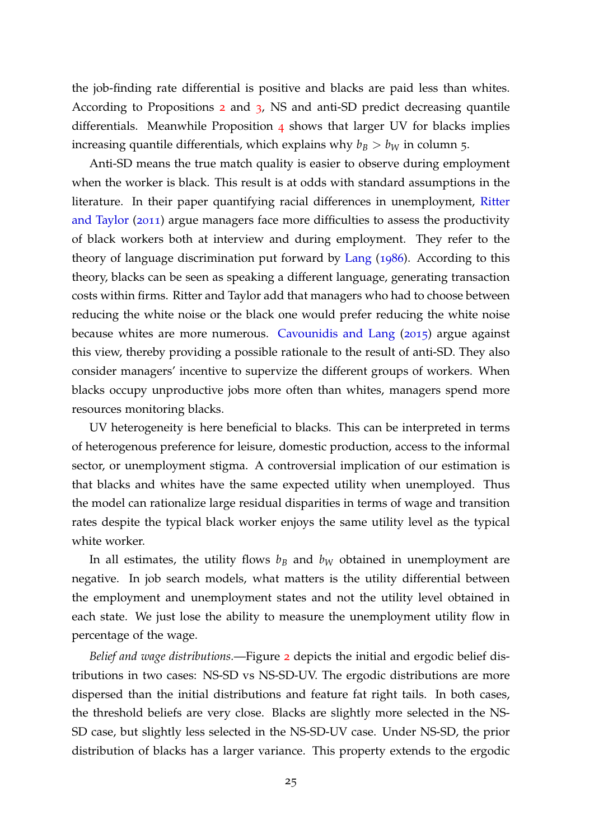the job-finding rate differential is positive and blacks are paid less than whites. According to Propositions [2](#page-14-1) and [3](#page-16-0), NS and anti-SD predict decreasing quantile differentials. Meanwhile Proposition [4](#page-18-0) shows that larger UV for blacks implies increasing quantile differentials, which explains why  $b_B > b_W$  in column 5.

Anti-SD means the true match quality is easier to observe during employment when the worker is black. This result is at odds with standard assumptions in the literature. In their paper quantifying racial differences in unemployment, [Ritter](#page-36-2) [and Taylor](#page-36-2) ([2011](#page-36-2)) argue managers face more difficulties to assess the productivity of black workers both at interview and during employment. They refer to the theory of language discrimination put forward by [Lang](#page-35-6) ([1986](#page-35-6)). According to this theory, blacks can be seen as speaking a different language, generating transaction costs within firms. Ritter and Taylor add that managers who had to choose between reducing the white noise or the black one would prefer reducing the white noise because whites are more numerous. [Cavounidis and Lang](#page-34-0) ([2015](#page-34-0)) argue against this view, thereby providing a possible rationale to the result of anti-SD. They also consider managers' incentive to supervize the different groups of workers. When blacks occupy unproductive jobs more often than whites, managers spend more resources monitoring blacks.

UV heterogeneity is here beneficial to blacks. This can be interpreted in terms of heterogenous preference for leisure, domestic production, access to the informal sector, or unemployment stigma. A controversial implication of our estimation is that blacks and whites have the same expected utility when unemployed. Thus the model can rationalize large residual disparities in terms of wage and transition rates despite the typical black worker enjoys the same utility level as the typical white worker.

In all estimates, the utility flows  $b_B$  and  $b_W$  obtained in unemployment are negative. In job search models, what matters is the utility differential between the employment and unemployment states and not the utility level obtained in each state. We just lose the ability to measure the unemployment utility flow in percentage of the wage.

*Belief and wage distributions.*—Figure [2](#page-27-0) depicts the initial and ergodic belief distributions in two cases: NS-SD vs NS-SD-UV. The ergodic distributions are more dispersed than the initial distributions and feature fat right tails. In both cases, the threshold beliefs are very close. Blacks are slightly more selected in the NS-SD case, but slightly less selected in the NS-SD-UV case. Under NS-SD, the prior distribution of blacks has a larger variance. This property extends to the ergodic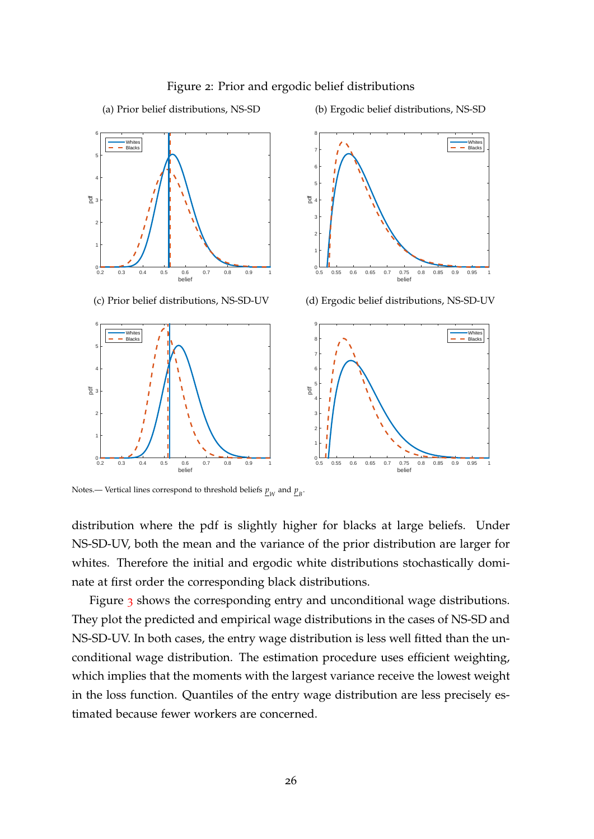<span id="page-27-0"></span>

#### Figure 2: Prior and ergodic belief distributions

pdf

 $0.5$ 

1 F 2 F 3 F 4 F 5 F 6 F 7 F 8г

(b) Ergodic belief distributions, NS-SD

Whites Blacks



0.5 0.55 0.6 0.65 0.7 0.75 0.8 0.85 0.9 0.95 1







Notes.— Vertical lines correspond to threshold beliefs  $\underline{p}_W$  and  $\underline{p}_B^T$ .

distribution where the pdf is slightly higher for blacks at large beliefs. Under NS-SD-UV, both the mean and the variance of the prior distribution are larger for whites. Therefore the initial and ergodic white distributions stochastically dominate at first order the corresponding black distributions.

Figure [3](#page-28-0) shows the corresponding entry and unconditional wage distributions. They plot the predicted and empirical wage distributions in the cases of NS-SD and NS-SD-UV. In both cases, the entry wage distribution is less well fitted than the unconditional wage distribution. The estimation procedure uses efficient weighting, which implies that the moments with the largest variance receive the lowest weight in the loss function. Quantiles of the entry wage distribution are less precisely estimated because fewer workers are concerned.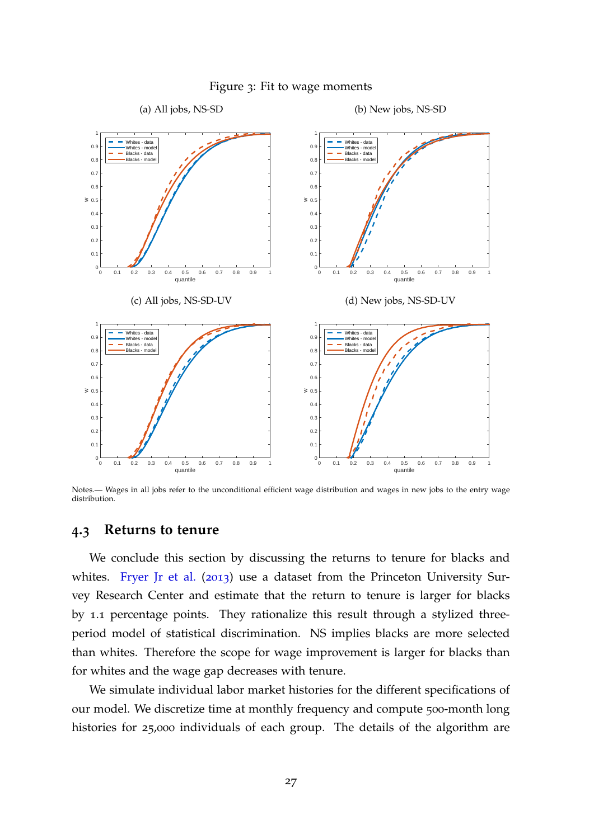<span id="page-28-0"></span>

#### Figure 3: Fit to wage moments

Notes.— Wages in all jobs refer to the unconditional efficient wage distribution and wages in new jobs to the entry wage distribution.

#### **4.3 Returns to tenure**

We conclude this section by discussing the returns to tenure for blacks and whites. [Fryer Jr et al.](#page-35-3) ([2013](#page-35-3)) use a dataset from the Princeton University Survey Research Center and estimate that the return to tenure is larger for blacks by 1.1 percentage points. They rationalize this result through a stylized threeperiod model of statistical discrimination. NS implies blacks are more selected than whites. Therefore the scope for wage improvement is larger for blacks than for whites and the wage gap decreases with tenure.

We simulate individual labor market histories for the different specifications of our model. We discretize time at monthly frequency and compute 500-month long histories for 25,000 individuals of each group. The details of the algorithm are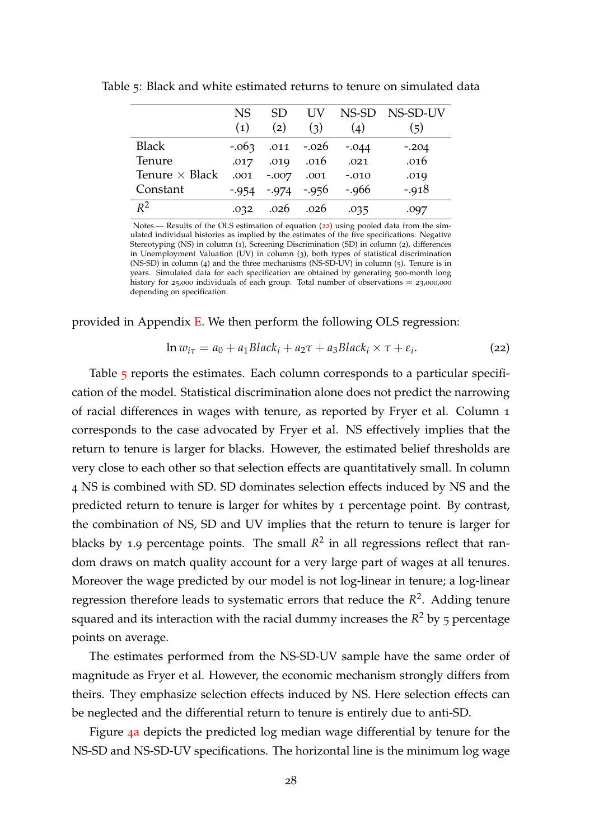|                       | NS.      | SD.      | UV            |         | NS-SD NS-SD-UV |
|-----------------------|----------|----------|---------------|---------|----------------|
|                       | (1)      | (2)      | (3)           | (4)     | (5)            |
| <b>Black</b>          | $-.063$  |          | $.011 - .026$ | $-.044$ | $-.204$        |
| Tenure                | .017     | .019     | .016          | .021    | .016           |
| Tenure $\times$ Black | .001     | $-.007$  | .001          | $-.010$ | .019           |
| Constant              | $-0.954$ | $-0.974$ | $-.956$       | $-.966$ | $-0.918$       |
| $R^2$                 | .032     | .026     | .026          | .035    |                |

<span id="page-29-1"></span>Table 5: Black and white estimated returns to tenure on simulated data

Notes.— Results of the OLS estimation of equation ([22](#page-29-0)) using pooled data from the simulated individual histories as implied by the estimates of the five specifications: Negative Stereotyping (NS) in column (1), Screening Discrimination (SD) in column (2), differences in Unemployment Valuation (UV) in column (3), both types of statistical discrimination (NS-SD) in column (4) and the three mechanisms (NS-SD-UV) in column (5). Tenure is in years. Simulated data for each specification are obtained by generating 500-month long history for 25,000 individuals of each group. Total number of observations  $\approx$  23,000,000 depending on specification.

provided in Appendix [E.](#page-42-0) We then perform the following OLS regression:

<span id="page-29-0"></span>
$$
\ln w_{i\tau} = a_0 + a_1 Black_i + a_2\tau + a_3Black_i \times \tau + \varepsilon_i.
$$
 (22)

Table [5](#page-29-1) reports the estimates. Each column corresponds to a particular specification of the model. Statistical discrimination alone does not predict the narrowing of racial differences in wages with tenure, as reported by Fryer et al. Column 1 corresponds to the case advocated by Fryer et al. NS effectively implies that the return to tenure is larger for blacks. However, the estimated belief thresholds are very close to each other so that selection effects are quantitatively small. In column 4 NS is combined with SD. SD dominates selection effects induced by NS and the predicted return to tenure is larger for whites by 1 percentage point. By contrast, the combination of NS, SD and UV implies that the return to tenure is larger for blacks by 1.9 percentage points. The small  $R^2$  in all regressions reflect that random draws on match quality account for a very large part of wages at all tenures. Moreover the wage predicted by our model is not log-linear in tenure; a log-linear regression therefore leads to systematic errors that reduce the *R* 2 . Adding tenure squared and its interaction with the racial dummy increases the *R*<sup>2</sup> by 5 percentage points on average.

The estimates performed from the NS-SD-UV sample have the same order of magnitude as Fryer et al. However, the economic mechanism strongly differs from theirs. They emphasize selection effects induced by NS. Here selection effects can be neglected and the differential return to tenure is entirely due to anti-SD.

Figure 4[a](#page-30-1) depicts the predicted log median wage differential by tenure for the NS-SD and NS-SD-UV specifications. The horizontal line is the minimum log wage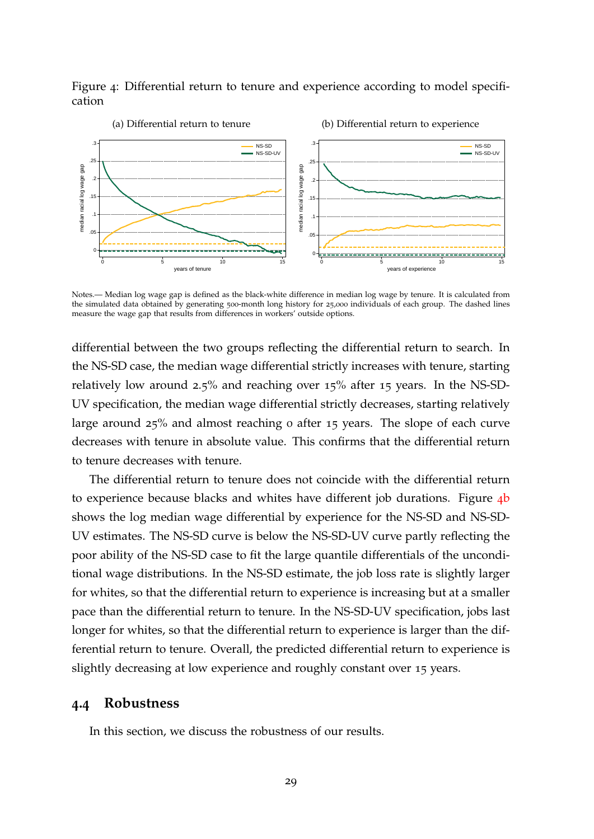<span id="page-30-2"></span>Figure 4: Differential return to tenure and experience according to model specification

<span id="page-30-1"></span>

Notes.— Median log wage gap is defined as the black-white difference in median log wage by tenure. It is calculated from the simulated data obtained by generating 500-month long history for 25,000 individuals of each group. The dashed lines measure the wage gap that results from differences in workers' outside options.

differential between the two groups reflecting the differential return to search. In the NS-SD case, the median wage differential strictly increases with tenure, starting relatively low around 2.5% and reaching over 15% after 15 years. In the NS-SD-UV specification, the median wage differential strictly decreases, starting relatively large around 25% and almost reaching 0 after 15 years. The slope of each curve decreases with tenure in absolute value. This confirms that the differential return to tenure decreases with tenure.

The differential return to tenure does not coincide with the differential return to experience [b](#page-30-2)ecause blacks and whites have different job durations. Figure 4b shows the log median wage differential by experience for the NS-SD and NS-SD-UV estimates. The NS-SD curve is below the NS-SD-UV curve partly reflecting the poor ability of the NS-SD case to fit the large quantile differentials of the unconditional wage distributions. In the NS-SD estimate, the job loss rate is slightly larger for whites, so that the differential return to experience is increasing but at a smaller pace than the differential return to tenure. In the NS-SD-UV specification, jobs last longer for whites, so that the differential return to experience is larger than the differential return to tenure. Overall, the predicted differential return to experience is slightly decreasing at low experience and roughly constant over 15 years.

#### <span id="page-30-0"></span>**4.4 Robustness**

In this section, we discuss the robustness of our results.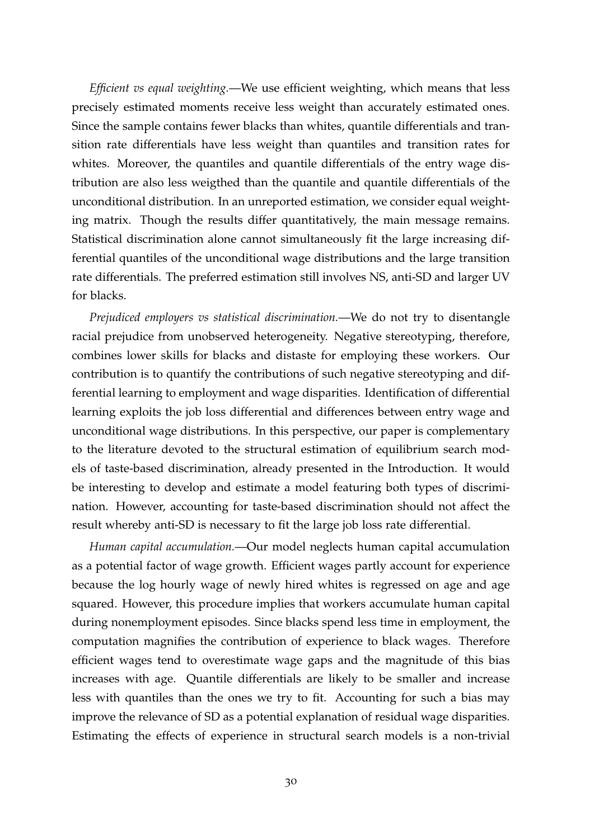*Efficient vs equal weighting.*—We use efficient weighting, which means that less precisely estimated moments receive less weight than accurately estimated ones. Since the sample contains fewer blacks than whites, quantile differentials and transition rate differentials have less weight than quantiles and transition rates for whites. Moreover, the quantiles and quantile differentials of the entry wage distribution are also less weigthed than the quantile and quantile differentials of the unconditional distribution. In an unreported estimation, we consider equal weighting matrix. Though the results differ quantitatively, the main message remains. Statistical discrimination alone cannot simultaneously fit the large increasing differential quantiles of the unconditional wage distributions and the large transition rate differentials. The preferred estimation still involves NS, anti-SD and larger UV for blacks.

*Prejudiced employers vs statistical discrimination.*—We do not try to disentangle racial prejudice from unobserved heterogeneity. Negative stereotyping, therefore, combines lower skills for blacks and distaste for employing these workers. Our contribution is to quantify the contributions of such negative stereotyping and differential learning to employment and wage disparities. Identification of differential learning exploits the job loss differential and differences between entry wage and unconditional wage distributions. In this perspective, our paper is complementary to the literature devoted to the structural estimation of equilibrium search models of taste-based discrimination, already presented in the Introduction. It would be interesting to develop and estimate a model featuring both types of discrimination. However, accounting for taste-based discrimination should not affect the result whereby anti-SD is necessary to fit the large job loss rate differential.

*Human capital accumulation.*—Our model neglects human capital accumulation as a potential factor of wage growth. Efficient wages partly account for experience because the log hourly wage of newly hired whites is regressed on age and age squared. However, this procedure implies that workers accumulate human capital during nonemployment episodes. Since blacks spend less time in employment, the computation magnifies the contribution of experience to black wages. Therefore efficient wages tend to overestimate wage gaps and the magnitude of this bias increases with age. Quantile differentials are likely to be smaller and increase less with quantiles than the ones we try to fit. Accounting for such a bias may improve the relevance of SD as a potential explanation of residual wage disparities. Estimating the effects of experience in structural search models is a non-trivial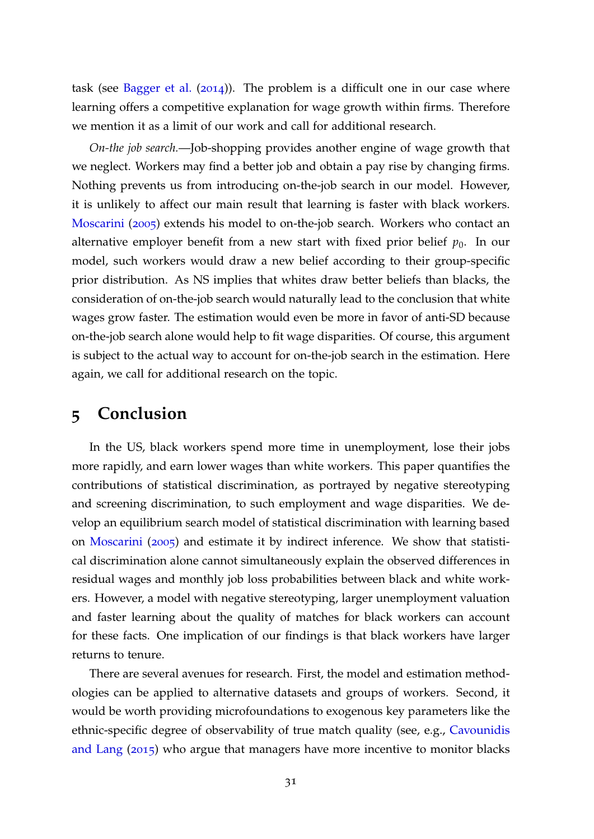task (see [Bagger et al.](#page-34-12)  $(2014)$  $(2014)$  $(2014)$ ). The problem is a difficult one in our case where learning offers a competitive explanation for wage growth within firms. Therefore we mention it as a limit of our work and call for additional research.

*On-the job search.*—Job-shopping provides another engine of wage growth that we neglect. Workers may find a better job and obtain a pay rise by changing firms. Nothing prevents us from introducing on-the-job search in our model. However, it is unlikely to affect our main result that learning is faster with black workers. [Moscarini](#page-35-0) ([2005](#page-35-0)) extends his model to on-the-job search. Workers who contact an alternative employer benefit from a new start with fixed prior belief  $p_0$ . In our model, such workers would draw a new belief according to their group-specific prior distribution. As NS implies that whites draw better beliefs than blacks, the consideration of on-the-job search would naturally lead to the conclusion that white wages grow faster. The estimation would even be more in favor of anti-SD because on-the-job search alone would help to fit wage disparities. Of course, this argument is subject to the actual way to account for on-the-job search in the estimation. Here again, we call for additional research on the topic.

# **5 Conclusion**

In the US, black workers spend more time in unemployment, lose their jobs more rapidly, and earn lower wages than white workers. This paper quantifies the contributions of statistical discrimination, as portrayed by negative stereotyping and screening discrimination, to such employment and wage disparities. We develop an equilibrium search model of statistical discrimination with learning based on [Moscarini](#page-35-0) ([2005](#page-35-0)) and estimate it by indirect inference. We show that statistical discrimination alone cannot simultaneously explain the observed differences in residual wages and monthly job loss probabilities between black and white workers. However, a model with negative stereotyping, larger unemployment valuation and faster learning about the quality of matches for black workers can account for these facts. One implication of our findings is that black workers have larger returns to tenure.

There are several avenues for research. First, the model and estimation methodologies can be applied to alternative datasets and groups of workers. Second, it would be worth providing microfoundations to exogenous key parameters like the ethnic-specific degree of observability of true match quality (see, e.g., [Cavounidis](#page-34-0) [and Lang](#page-34-0) ([2015](#page-34-0)) who argue that managers have more incentive to monitor blacks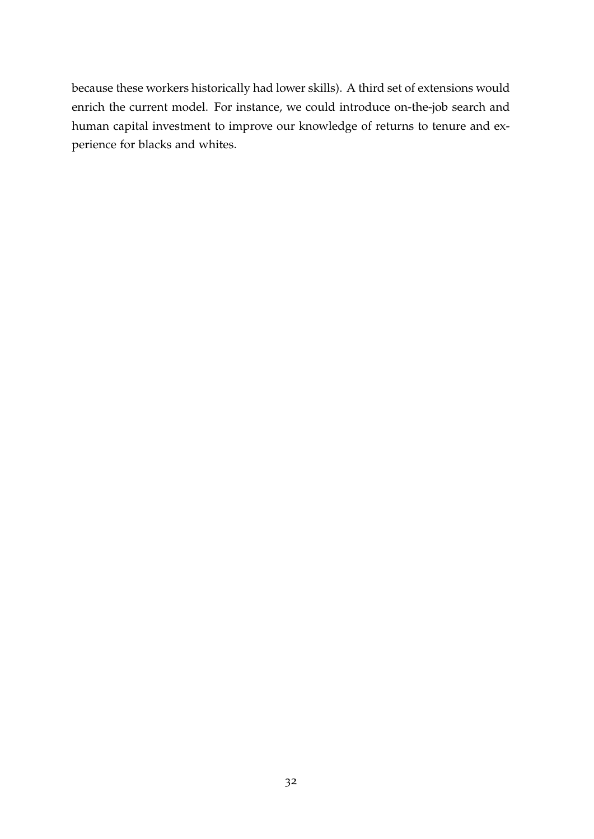because these workers historically had lower skills). A third set of extensions would enrich the current model. For instance, we could introduce on-the-job search and human capital investment to improve our knowledge of returns to tenure and experience for blacks and whites.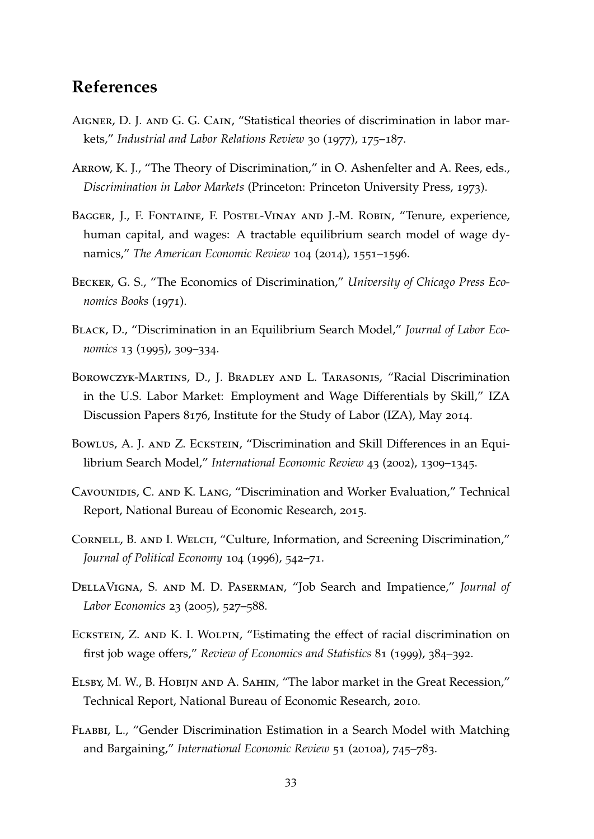# **References**

- <span id="page-34-10"></span>AIGNER, D. J. AND G. G. CAIN, "Statistical theories of discrimination in labor markets," *Industrial and Labor Relations Review* 30 (1977), 175–187.
- <span id="page-34-7"></span>Arrow, K. J., "The Theory of Discrimination," in O. Ashenfelter and A. Rees, eds., *Discrimination in Labor Markets* (Princeton: Princeton University Press, 1973).
- <span id="page-34-12"></span>Bagger, J., F. Fontaine, F. Postel-Vinay and J.-M. Robin, "Tenure, experience, human capital, and wages: A tractable equilibrium search model of wage dynamics," *The American Economic Review* 104 (2014), 1551–1596.
- <span id="page-34-1"></span>Becker, G. S., "The Economics of Discrimination," *University of Chicago Press Economics Books* (1971).
- <span id="page-34-2"></span>Black, D., "Discrimination in an Equilibrium Search Model," *Journal of Labor Economics* 13 (1995), 309–334.
- <span id="page-34-5"></span>Borowczyk-Martins, D., J. Bradley and L. Tarasonis, "Racial Discrimination in the U.S. Labor Market: Employment and Wage Differentials by Skill," IZA Discussion Papers 8176, Institute for the Study of Labor (IZA), May 2014.
- <span id="page-34-4"></span>Bowlus, A. J. and Z. Eckstein, "Discrimination and Skill Differences in an Equilibrium Search Model," *International Economic Review* 43 (2002), 1309–1345.
- <span id="page-34-0"></span>CAVOUNIDIS, C. AND K. LANG, "Discrimination and Worker Evaluation," Technical Report, National Bureau of Economic Research, 2015.
- <span id="page-34-11"></span>CORNELL, B. AND I. WELCH, "Culture, Information, and Screening Discrimination," *Journal of Political Economy* 104 (1996), 542–71.
- <span id="page-34-9"></span>DellaVigna, S. and M. D. Paserman, "Job Search and Impatience," *Journal of Labor Economics* 23 (2005), 527–588.
- <span id="page-34-3"></span>ECKSTEIN, Z. AND K. I. WOLPIN, "Estimating the effect of racial discrimination on first job wage offers," *Review of Economics and Statistics* 81 (1999), 384–392.
- <span id="page-34-8"></span>Elsby, M. W., B. Hobijn and A. Sahin, "The labor market in the Great Recession," Technical Report, National Bureau of Economic Research, 2010.
- <span id="page-34-6"></span>Flabbi, L., "Gender Discrimination Estimation in a Search Model with Matching and Bargaining," *International Economic Review* 51 (2010a), 745–783.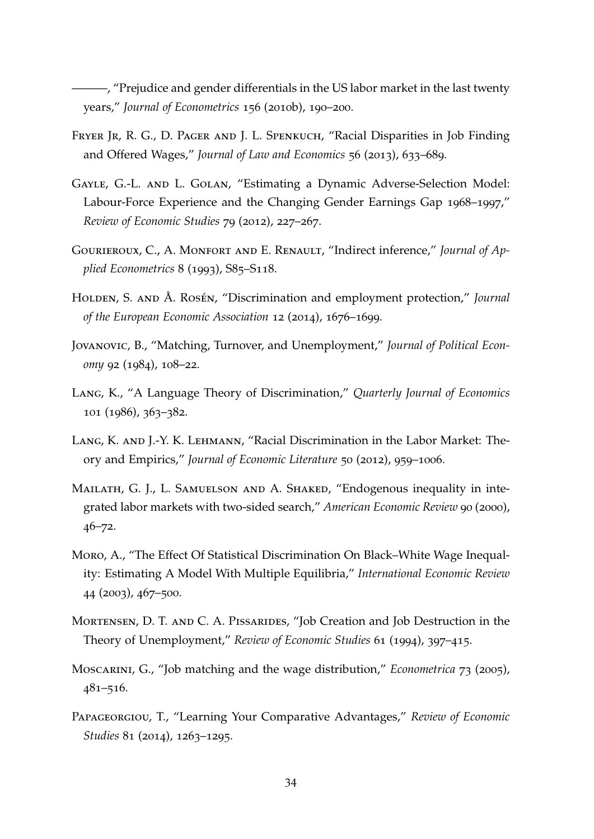<span id="page-35-7"></span>———, "Prejudice and gender differentials in the US labor market in the last twenty years," *Journal of Econometrics* 156 (2010b), 190–200.

- <span id="page-35-3"></span>FRYER JR, R. G., D. PAGER AND J. L. SPENKUCH, "Racial Disparities in Job Finding and Offered Wages," *Journal of Law and Economics* 56 (2013), 633–689.
- <span id="page-35-5"></span>Gayle, G.-L. and L. Golan, "Estimating a Dynamic Adverse-Selection Model: Labour-Force Experience and the Changing Gender Earnings Gap 1968–1997," *Review of Economic Studies* 79 (2012), 227–267.
- <span id="page-35-11"></span>Gourieroux, C., A. Monfort and E. Renault, "Indirect inference," *Journal of Applied Econometrics* 8 (1993), S85–S118.
- <span id="page-35-9"></span>HOLDEN, S. AND Å. ROSÉN, "Discrimination and employment protection," *Journal of the European Economic Association* 12 (2014), 1676–1699.
- <span id="page-35-2"></span>Jovanovic, B., "Matching, Turnover, and Unemployment," *Journal of Political Economy* 92 (1984), 108–22.
- <span id="page-35-6"></span>Lang, K., "A Language Theory of Discrimination," *Quarterly Journal of Economics* 101 (1986), 363–382.
- <span id="page-35-1"></span>Lang, K. and J.-Y. K. Lehmann, "Racial Discrimination in the Labor Market: Theory and Empirics," *Journal of Economic Literature* 50 (2012), 959–1006.
- <span id="page-35-8"></span>Mailath, G. J., L. Samuelson and A. Shaked, "Endogenous inequality in integrated labor markets with two-sided search," *American Economic Review* 90 (2000), 46–72.
- <span id="page-35-4"></span>Moro, A., "The Effect Of Statistical Discrimination On Black–White Wage Inequality: Estimating A Model With Multiple Equilibria," *International Economic Review* 44 (2003), 467–500.
- <span id="page-35-10"></span>MORTENSEN, D. T. AND C. A. PISSARIDES, "Job Creation and Job Destruction in the Theory of Unemployment," *Review of Economic Studies* 61 (1994), 397–415.
- <span id="page-35-0"></span>Moscarini, G., "Job matching and the wage distribution," *Econometrica* 73 (2005), 481–516.
- <span id="page-35-12"></span>Papageorgiou, T., "Learning Your Comparative Advantages," *Review of Economic Studies* 81 (2014), 1263–1295.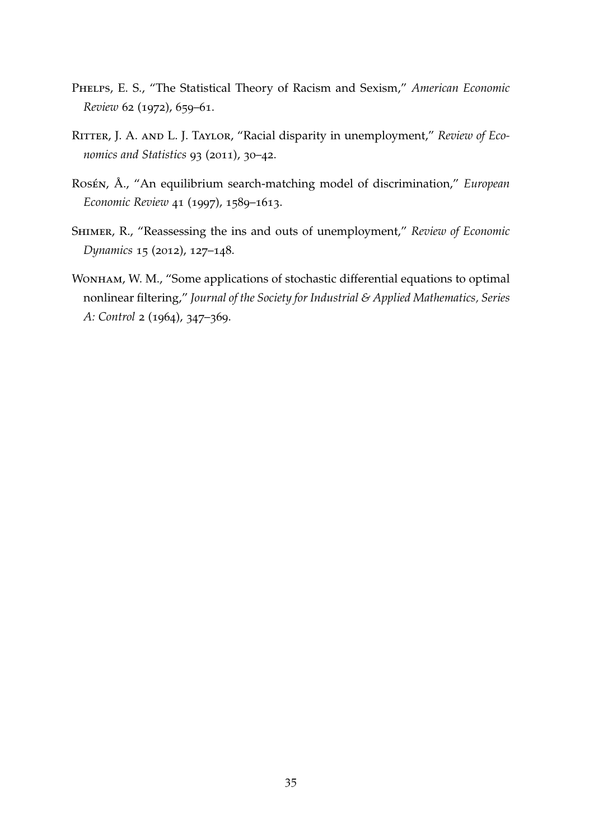- <span id="page-36-0"></span>Phelps, E. S., "The Statistical Theory of Racism and Sexism," *American Economic Review* 62 (1972), 659–61.
- <span id="page-36-2"></span>Ritter, J. A. and L. J. Taylor, "Racial disparity in unemployment," *Review of Economics and Statistics* 93 (2011), 30–42.
- <span id="page-36-3"></span>Rosén, Å., "An equilibrium search-matching model of discrimination," *European Economic Review* 41 (1997), 1589–1613.
- <span id="page-36-1"></span>Shimer, R., "Reassessing the ins and outs of unemployment," *Review of Economic Dynamics* 15 (2012), 127–148.
- <span id="page-36-4"></span>WONHAM, W. M., "Some applications of stochastic differential equations to optimal nonlinear filtering," *Journal of the Society for Industrial & Applied Mathematics, Series A: Control* 2 (1964), 347–369.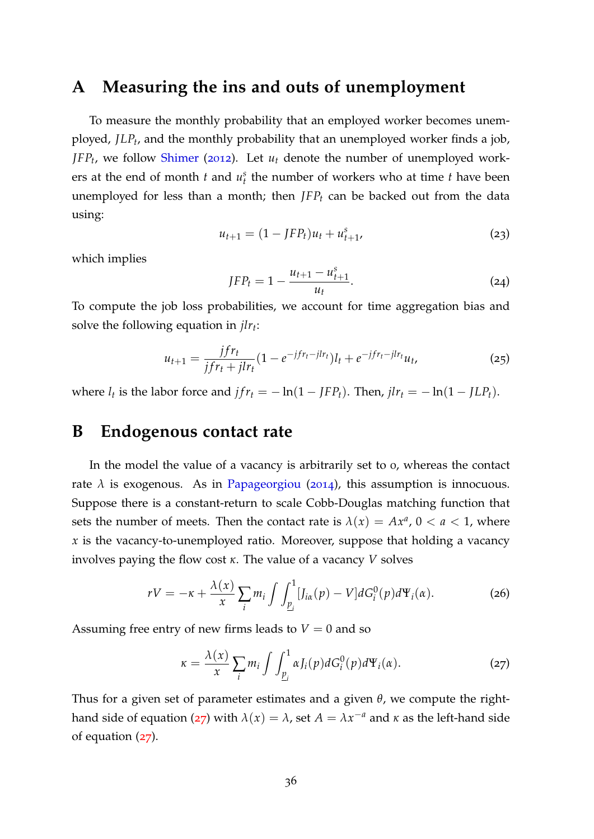### <span id="page-37-0"></span>**A Measuring the ins and outs of unemployment**

To measure the monthly probability that an employed worker becomes unemployed, *JLP<sup>t</sup>* , and the monthly probability that an unemployed worker finds a job, *JFP<sup>t</sup>* , we follow [Shimer](#page-36-1) ([2012](#page-36-1)). Let *u<sup>t</sup>* denote the number of unemployed workers at the end of month  $t$  and  $u_t^s$  the number of workers who at time  $t$  have been unemployed for less than a month; then *JFP<sup>t</sup>* can be backed out from the data using:

$$
u_{t+1} = (1 - JFP_t)u_t + u_{t+1}^s,
$$
\n(23)

which implies

$$
JFP_t = 1 - \frac{u_{t+1} - u_{t+1}^s}{u_t}.
$$
 (24)

To compute the job loss probabilities, we account for time aggregation bias and solve the following equation in *jlr<sup>t</sup>* :

$$
u_{t+1} = \frac{jfr_t}{jfr_t + jlr_t} (1 - e^{-jfr_t - jlr_t}) l_t + e^{-jfr_t - jlr_t} u_t,
$$
\n(25)

where  $l_t$  is the labor force and  $jfr_t = -\ln(1 - JFP_t)$ . Then,  $jlr_t = -\ln(1 - JLP_t)$ .

## <span id="page-37-1"></span>**B Endogenous contact rate**

In the model the value of a vacancy is arbitrarily set to 0, whereas the contact rate  $\lambda$  is exogenous. As in [Papageorgiou](#page-35-12) ([2014](#page-35-12)), this assumption is innocuous. Suppose there is a constant-return to scale Cobb-Douglas matching function that sets the number of meets. Then the contact rate is  $\lambda(x) = Ax^a$ ,  $0 < a < 1$ , where *x* is the vacancy-to-unemployed ratio. Moreover, suppose that holding a vacancy involves paying the flow cost *κ*. The value of a vacancy *V* solves

$$
rV = -\kappa + \frac{\lambda(x)}{x} \sum_{i} m_i \int \int_{\underline{p}_i}^{1} [J_{i\alpha}(p) - V] dG_i^0(p) d\Psi_i(\alpha).
$$
 (26)

Assuming free entry of new firms leads to  $V = 0$  and so

<span id="page-37-2"></span>
$$
\kappa = \frac{\lambda(x)}{x} \sum_{i} m_i \int \int_{\underline{p}_i}^{1} \alpha J_i(p) dG_i^0(p) d\Psi_i(\alpha).
$$
 (27)

Thus for a given set of parameter estimates and a given *θ*, we compute the right-hand side of equation ([27](#page-37-2)) with  $\lambda(x) = \lambda$ , set  $A = \lambda x^{-a}$  and  $\kappa$  as the left-hand side of equation ([27](#page-37-2)).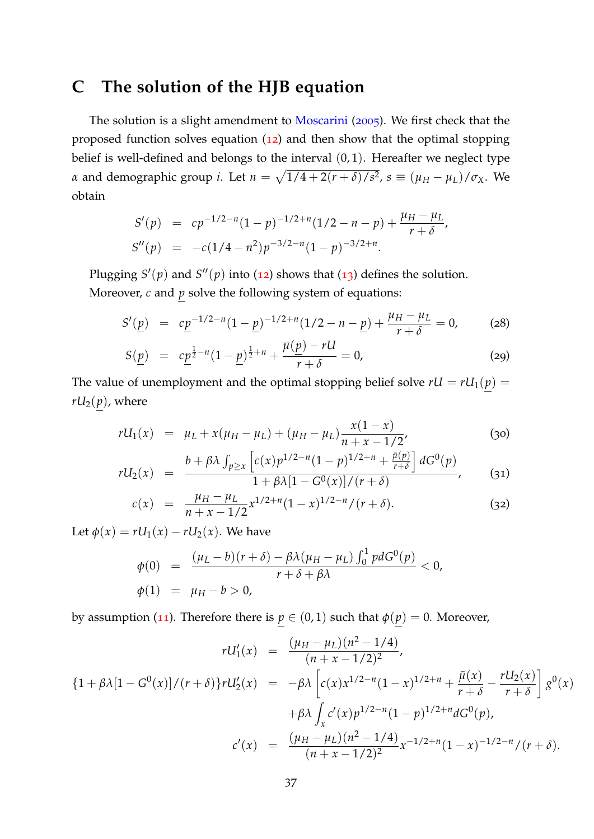# <span id="page-38-0"></span>**C The solution of the HJB equation**

The solution is a slight amendment to [Moscarini](#page-35-0) ([2005](#page-35-0)). We first check that the proposed function solves equation ([12](#page-11-3)) and then show that the optimal stopping belief is well-defined and belongs to the interval (0, 1). Hereafter we neglect type *α* and demographic group *i*. Let  $n = \sqrt{1/4 + 2(r + \delta)/s^2}$ ,  $s \equiv (\mu_H - \mu_L)/\sigma_X$ . We obtain

$$
S'(p) = cp^{-1/2-n}(1-p)^{-1/2+n}(1/2-n-p) + \frac{\mu_H - \mu_L}{r+\delta},
$$
  
\n
$$
S''(p) = -c(1/4-n^2)p^{-3/2-n}(1-p)^{-3/2+n}.
$$

Plugging  $S'(p)$  and  $S''(p)$  into ([12](#page-11-3)) shows that ([13](#page-11-1)) defines the solution. Moreover, *c* and *p* solve the following system of equations:

<span id="page-38-1"></span>
$$
S'(\underline{p}) = c\underline{p}^{-1/2-n}(1-\underline{p})^{-1/2+n}(1/2-n-\underline{p}) + \frac{\mu_H - \mu_L}{r+\delta} = 0,
$$
 (28)

$$
S(\underline{p}) = c\underline{p}^{\frac{1}{2}-n}(1-\underline{p})^{\frac{1}{2}+n} + \frac{\overline{\mu}(\underline{p}) - rU}{r+\delta} = 0,
$$
 (29)

The value of unemployment and the optimal stopping belief solve  $rU = rU_1(p)$  =  $rU_2(p)$ , where

$$
rU_1(x) = \mu_L + x(\mu_H - \mu_L) + (\mu_H - \mu_L) \frac{x(1-x)}{n+x-1/2},
$$
\n(30)

$$
rU_2(x) = \frac{b + \beta \lambda \int_{p \ge x} \left[ c(x) p^{1/2 - n} (1 - p)^{1/2 + n} + \frac{\bar{\mu}(p)}{r + \delta} \right] dG^0(p)}{1 + \beta \lambda [1 - G^0(x)] / (r + \delta)}, \quad (31)
$$

$$
c(x) = \frac{\mu_H - \mu_L}{n + x - 1/2} x^{1/2 + n} (1 - x)^{1/2 - n} / (r + \delta).
$$
 (32)

Let  $\phi(x) = rU_1(x) - rU_2(x)$ . We have

$$
\begin{array}{rcl}\n\phi(0) & = & \frac{(\mu_L - b)(r + \delta) - \beta \lambda (\mu_H - \mu_L) \int_0^1 p \, dG^0(p)}{r + \delta + \beta \lambda} < 0, \\
\phi(1) & = & \mu_H - b > 0,\n\end{array}
$$

by assumption ([11](#page-11-4)). Therefore there is  $p \in (0, 1)$  such that  $\phi(p) = 0$ . Moreover,

$$
rU'_{1}(x) = \frac{(\mu_{H} - \mu_{L})(n^{2} - 1/4)}{(n + x - 1/2)^{2}},
$$
  
\n
$$
\{1 + \beta \lambda [1 - G^{0}(x)]/(r + \delta)\}rU'_{2}(x) = -\beta \lambda \left[c(x)x^{1/2 - n}(1 - x)^{1/2 + n} + \frac{\bar{\mu}(x)}{r + \delta} - \frac{rU_{2}(x)}{r + \delta}\right]g^{0}(x)
$$
  
\n
$$
+ \beta \lambda \int_{x} c'(x)p^{1/2 - n}(1 - p)^{1/2 + n}dG^{0}(p),
$$
  
\n
$$
c'(x) = \frac{(\mu_{H} - \mu_{L})(n^{2} - 1/4)}{(n + x - 1/2)^{2}}x^{-1/2 + n}(1 - x)^{-1/2 - n}/(r + \delta).
$$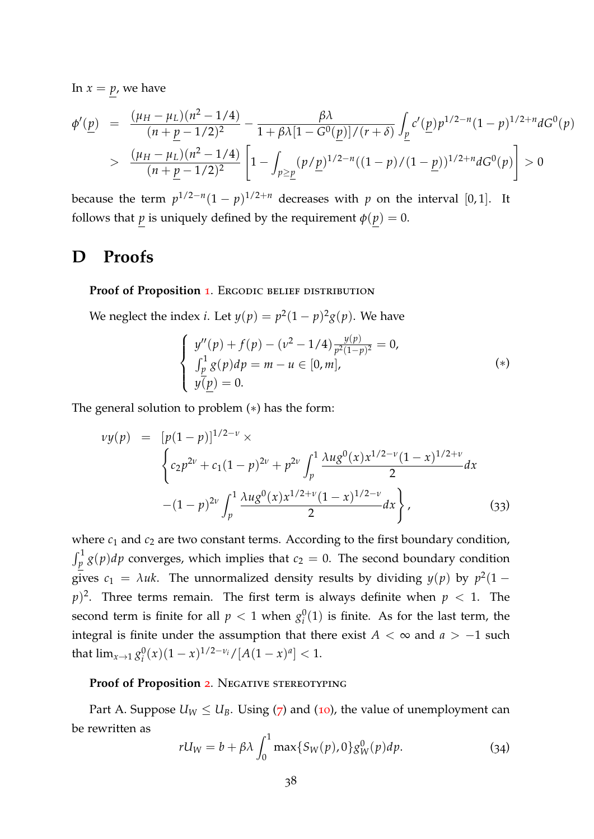In  $x = p$ , we have

$$
\begin{split} \phi'(\underline{p}) &= \frac{(\mu_H - \mu_L)(n^2 - 1/4)}{(n + \underline{p} - 1/2)^2} - \frac{\beta \lambda}{1 + \beta \lambda [1 - G^0(\underline{p})]/(r + \delta)} \int_{\underline{p}} c'(\underline{p}) p^{1/2 - n} (1 - p)^{1/2 + n} dG^0(p) \\ &> \frac{(\mu_H - \mu_L)(n^2 - 1/4)}{(n + \underline{p} - 1/2)^2} \left[ 1 - \int_{p \geq \underline{p}} (p/p)^{1/2 - n} ((1 - p)/(1 - \underline{p}))^{1/2 + n} dG^0(p) \right] > 0 \end{split}
$$

because the term  $p^{1/2-n}(1-p)^{1/2+n}$  decreases with *p* on the interval [0,1]. It follows that *p* is uniquely defined by the requirement  $\phi(p) = 0$ .

### <span id="page-39-0"></span>**D Proofs**

#### Proof of Proposition [1](#page-13-0). ERGODIC BELIEF DISTRIBUTION

We neglect the index *i*. Let  $y(p) = p^2(1-p)^2g(p)$ . We have

$$
\begin{cases}\ny''(p) + f(p) - (\nu^2 - 1/4) \frac{y(p)}{p^2(1-p)^2} = 0, \\
\int_p^1 g(p) dp = m - u \in [0, m], \\
y(p) = 0.\n\end{cases} (*)
$$

The general solution to problem (∗) has the form:

$$
vy(p) = [p(1-p)]^{1/2-\nu} \times
$$
  

$$
\left\{ c_2 p^{2\nu} + c_1 (1-p)^{2\nu} + p^{2\nu} \int_p^1 \frac{\lambda u g^0(x) x^{1/2-\nu} (1-x)^{1/2+\nu}}{2} dx \right\}
$$
  

$$
-(1-p)^{2\nu} \int_p^1 \frac{\lambda u g^0(x) x^{1/2+\nu} (1-x)^{1/2-\nu}}{2} dx
$$
 (33)

where  $c_1$  and  $c_2$  are two constant terms. According to the first boundary condition,  $\int_p^1 g(p) dp$  converges, which implies that  $c_2 = 0$ . The second boundary condition gives  $c_1 = \lambda uk$ . The unnormalized density results by dividing  $y(p)$  by  $p^2(1-p)$  $p$ <sup>2</sup>. Three terms remain. The first term is always definite when  $p < 1$ . The second term is finite for all  $p < 1$  when  $g_i^0$  $i<sup>0</sup>(1)$  is finite. As for the last term, the integral is finite under the assumption that there exist  $A < \infty$  and  $a > -1$  such that  $\lim_{x\to 1} g_i^0$  $\int_{i}^{0}(x)(1-x)^{1/2-\nu_i}/[A(1-x)^a] < 1.$ 

#### Proof of Proposition [2](#page-14-1). Negative stereotyping

Part A. Suppose  $U_W \leq U_B$ . Using ([7](#page-10-3)) and ([10](#page-11-2)), the value of unemployment can be rewritten as

$$
rU_W = b + \beta \lambda \int_0^1 \max\{S_W(p), 0\} g_W^0(p) dp.
$$
 (34)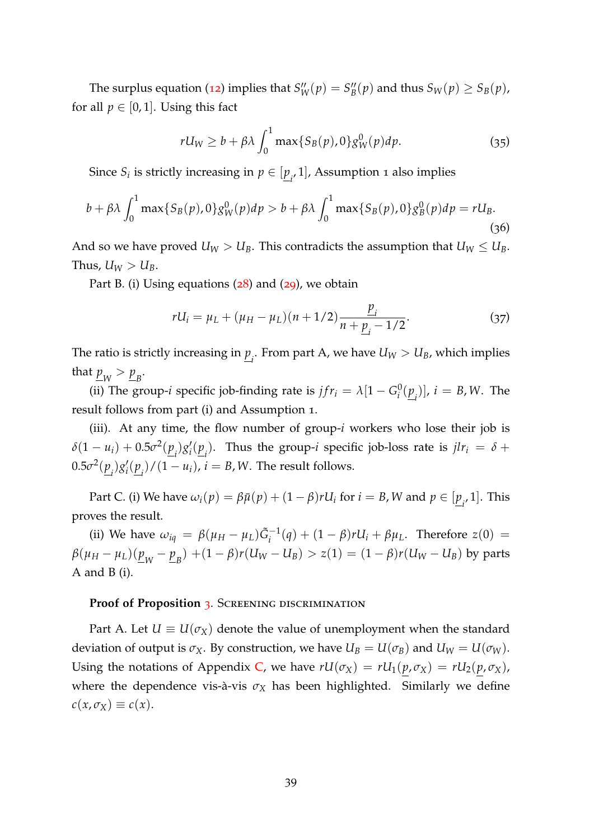The surplus equation ([12](#page-11-3)) implies that  $S_{W}''(p) = S_{B}''$  $B''_B(p)$  and thus  $S_W(p) \geq S_B(p)$ , for all  $p \in [0, 1]$ . Using this fact

$$
rU_W \ge b + \beta \lambda \int_0^1 \max\{S_B(p), 0\} g_W^0(p) dp. \tag{35}
$$

Since  $S_i$  is strictly increasing in  $p \in [\underline{p}_i, 1]$ , Assumption 1 also implies

$$
b + \beta \lambda \int_0^1 \max\{S_B(p), 0\} g_W^0(p) dp > b + \beta \lambda \int_0^1 \max\{S_B(p), 0\} g_B^0(p) dp = r U_B.
$$
\n(36)

And so we have proved  $U_W > U_B$ . This contradicts the assumption that  $U_W \leq U_B$ . Thus,  $U_W > U_B$ .

Part B. (i) Using equations ([28](#page-38-1)) and ([29](#page-38-1)), we obtain

$$
rU_i = \mu_L + (\mu_H - \mu_L)(n + 1/2) \frac{p_i}{n + \underline{p}_i - 1/2}.
$$
 (37)

The ratio is strictly increasing in  $\underline{p}_i.$  From part A, we have  $U_W > U_B$ , which implies that  $\underline{p}_W > \underline{p}_B$ .

(ii) The group-*i* specific job-finding rate is  $jfr_i = \lambda [1 - G_i^0]$  $\left(\frac{0}{i}(\underline{p}_i)\right]$ ,  $i = B$ , *W*. The result follows from part (i) and Assumption 1.

(iii). At any time, the flow number of group-*i* workers who lose their job is  $\delta(1 - u_i) + 0.5\sigma^2(\underline{p}_i)g'_i$  $\int_{i}^{t}(\underline{p}_{i})$ . Thus the group-*i* specific job-loss rate is  $jlr_{i} = \delta +$  $0.5\sigma^2(\underline{p}_i)g'_i$  $\mathcal{L}_i'(\underline{p}_i')/(1-u_i)$ ,  $i=B,W$ . The result follows.

Part C. (i) We have  $\omega_i(p) = \beta \bar{\mu}(p) + (1 - \beta)rU_i$  for  $i = B$ , W and  $p \in [\underline{p}_i, 1]$ . This proves the result.

(ii) We have  $\omega_{iq} = \beta(\mu_H - \mu_L)\tilde{G}_i^{-1}(q) + (1 - \beta)rU_i + \beta\mu_L$ . Therefore  $z(0)$  =  $\beta(\mu_H-\mu_L)(\underline{p}_{_W}-\underline{p}_{_B})+(1-\beta)r(U_W-U_B)>z(1)=(1-\beta)r(U_W-U_B)$  by parts A and B (i).

#### **Proof of Proposition [3](#page-16-0). SCREENING DISCRIMINATION**

Part A. Let  $U \equiv U(\sigma_X)$  denote the value of unemployment when the standard deviation of output is  $\sigma_X$ . By construction, we have  $U_B = U(\sigma_B)$  and  $U_W = U(\sigma_W)$ . Using the notations of Appendix [C,](#page-38-0) we have  $rU(\sigma_X) = rU_1(p, \sigma_X) = rU_2(p, \sigma_X)$ , where the dependence vis-à-vis  $\sigma_X$  has been highlighted. Similarly we define  $c(x, \sigma_X) \equiv c(x)$ .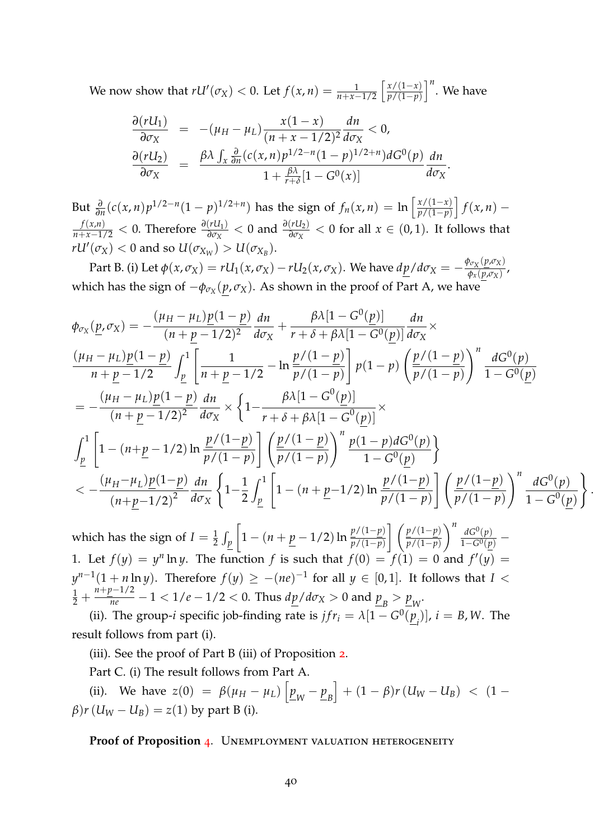We now show that  $rU'(\sigma_X) < 0$ . Let  $f(x, n) = \frac{1}{n+x-1/2} \left[ \frac{x/(1-x)}{p/(1-p)} \right]$ *p*/(1−*p*)  $\int_0^n$ . We have

$$
\frac{\partial (rU_1)}{\partial \sigma_X} = -(\mu_H - \mu_L) \frac{x(1-x)}{(n+x-1/2)^2} \frac{dn}{d\sigma_X} < 0,
$$
  

$$
\frac{\partial (rU_2)}{\partial \sigma_X} = \frac{\beta \lambda \int_x \frac{\partial}{\partial n} (c(x,n)p^{1/2-n}(1-p)^{1/2+n}) dG^0(p)}{1 + \frac{\beta \lambda}{r+\delta} [1-G^0(x)]} \frac{dn}{d\sigma_X}.
$$

But  $\frac{\partial}{\partial n}(c(x,n)p^{1/2-n}(1-p)^{1/2+n})$  has the sign of  $f_n(x,n) = \ln \left[ \frac{x/(1-x)}{p/(1-p)} \right]$ *p*/(1−*p*)  $\int$ *f*(*x*, *n*) −  $\frac{f(x,n)}{n+x-1/2}$  < 0. Therefore  $\frac{\partial(rU_1)}{\partial \sigma_X}$  < 0 and  $\frac{\partial(rU_2)}{\partial \sigma_X}$  < 0 for all  $x \in (0,1)$ . It follows that  $rU'(\sigma_X) < 0$  and so  $U(\sigma_{X_W}) > U(\sigma_{X_B})$ .

Part B. (i) Let  $\phi(x,\sigma_X) = rU_1(x,\sigma_X) - rU_2(x,\sigma_X)$ . We have  $dp/d\sigma_X = -\frac{\phi_{\sigma_X}(p,\sigma_X)}{\phi_{\sigma_Y}(p,\sigma_X)}$  $\frac{\varphi_{X}(\mathbf{p},\mathbf{p},\mathbf{p})}{\varphi_{X}(\mathbf{p},\mathbf{p},\mathbf{p})}$ which has the sign of −*φσ<sup>X</sup>* (*p*, *σX*). As shown in the proof of Part A, we have

$$
\phi_{\sigma_X}(\underline{p}, \sigma_X) = -\frac{(\mu_H - \mu_L)\underline{p}(1-\underline{p})}{(n+\underline{p}-1/2)^2} \frac{dn}{d\sigma_X} + \frac{\beta \lambda [1-G^0(\underline{p})]}{r+\delta + \beta \lambda [1-G^0(\underline{p})]} \frac{dn}{d\sigma_X} \times \n\frac{(\mu_H - \mu_L)\underline{p}(1-\underline{p})}{n+\underline{p}-1/2} \int_{\underline{p}}^1 \left[ \frac{1}{n+\underline{p}-1/2} - \ln \frac{\underline{p}/(1-\underline{p})}{\underline{p}/(1-\underline{p})} \right] p(1-p) \left( \frac{\underline{p}/(1-\underline{p})}{\underline{p}/(1-\underline{p})} \right)^n \frac{dG^0(\underline{p})}{1-G^0(\underline{p})} \n= -\frac{(\mu_H - \mu_L)\underline{p}(1-\underline{p})}{(n+\underline{p}-1/2)^2} \frac{dn}{d\sigma_X} \times \left\{ 1 - \frac{\beta \lambda [1-G^0(\underline{p})]}{r+\delta + \beta \lambda [1-G^0(\underline{p})]} \times \right\} \n\int_{\underline{p}}^1 \left[ 1 - (n+\underline{p}-1/2) \ln \frac{\underline{p}/(1-\underline{p})}{\underline{p}/(1-\underline{p})} \right] \left( \frac{\underline{p}/(1-\underline{p})}{\underline{p}/(1-\underline{p})} \right)^n \frac{p(1-p)dG^0(\underline{p})}{1-G^0(\underline{p})} \right\} \n< -\frac{(\mu_H - \mu_L)\underline{p}(1-\underline{p})}{(n+\underline{p}-1/2)^2} \frac{dn}{d\sigma_X} \left\{ 1 - \frac{1}{2} \int_{\underline{p}}^1 \left[ 1 - (n+\underline{p}-1/2) \ln \frac{\underline{p}/(1-\underline{p})}{\underline{p}/(1-\underline{p})} \right] \left( \frac{\underline{p}/(1-\underline{p})}{\underline{p}/(1-\underline{p})} \right)^n \frac{dG^0(\underline{p})}{1-G^0(\underline{p})} \right\}
$$

.

which has the sign of  $I=\frac{1}{2}\int_p$  $\left[1 - \left(n + \frac{p}{2} - 1/2\right) \ln \frac{p/(1-p)}{p/(1-p)}\right]$  *p*/(1−*p*) *p*/(1−*p*)  $\bigwedge^n$  *dG*<sup>0</sup>(*p*)  $\frac{aG^{\circ}(p)}{1-G^0(p)}$  – 1. Let  $f(y) = y^n \ln y$ . The function f is such that  $f(0) = f(1) = 0$  and  $f'(y) = 0$  $y^{n-1}(1 + n \ln y)$ . Therefore  $f(y) \ge -(ne)^{-1}$  for all  $y \in [0,1]$ . It follows that *I* <  $\frac{1}{2} + \frac{n+p-1/2}{n e} - 1 < 1/e - 1/2 < 0$ . Thus  $d\underline{p}/d\sigma_X > 0$  and  $\underline{p}_B > \underline{p}_W$ .

(ii). The group-*i* specific job-finding rate is  $jfr_i = \lambda[1 - G^0(\underline{p}_i)]$ ,  $i = B$ , *W*. The result follows from part (i).

(iii). See the proof of Part B (iii) of Proposition [2](#page-14-1).

Part C. (i) The result follows from Part A.

(ii). We have  $z(0) = \beta(\mu_H - \mu_L) \left[ \frac{p}{\mu_W} - \frac{p}{\mu_B} \right]$  $\Big\} + (1 - \beta)r\left( U_{W} - U_{B} \right) \ \leq \ \big( 1 - \frac{1}{2} \big)$ *β*)*r* ( $U_W - U_B$ ) = *z*(1) by part B (i).

Proof of Proposition [4](#page-18-0). UNEMPLOYMENT VALUATION HETEROGENEITY